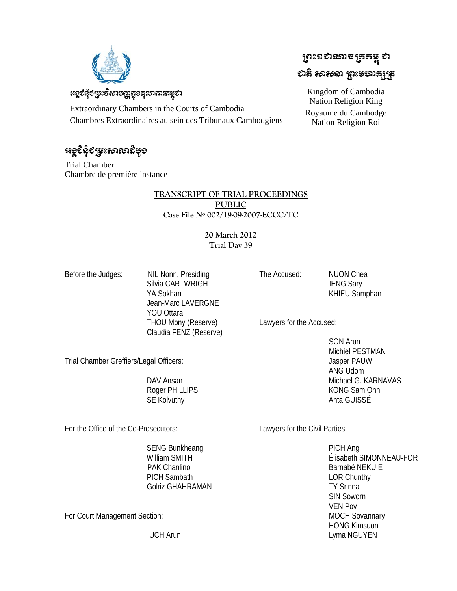

### หอุชิลุ๊ยหะธิษาะตูเซูอสุชาสาเสะุยา

Extraordinary Chambers in the Courts of Cambodia Chambres Extraordinaires au sein des Tribunaux Cambodgiens

## <u>ಚರ್</u>ಧಿಕೃತಿ ವಿಷಿತು ಅಂಶಸ್ಥಿತಿ

Trial Chamber Chambre de première instance

### **TRANSCRIPT OF TRIAL PROCEEDINGS PUBLIC Case File Nº 002/19-09-2007-ECCC/TC**

### **20 March 2012 Trial Day 39**

Before the Judges: NIL Nonn, Presiding Silvia CARTWRIGHT YA Sokhan Jean-Marc LAVERGNE YOU Ottara THOU Mony (Reserve) Claudia FENZ (Reserve)

The Accused: NUON Chea

 IENG Sary KHIEU Samphan

Lawyers for the Accused:

 SON Arun Michiel PESTMAN Jasper PAUW ANG Udom Michael G. KARNAVAS KONG Sam Onn Anta GUISSÉ

For the Office of the Co-Prosecutors:

Trial Chamber Greffiers/Legal Officers:

Lawyers for the Civil Parties:

 PICH Ang Élisabeth SIMONNEAU-FORT Barnabé NEKUIE LOR Chunthy TY Srinna SIN Soworn VEN Pov MOCH Sovannary HONG Kimsuon Lyma NGUYEN

SENG Bunkheang William SMITH PAK Chanlino PICH Sambath Golriz GHAHRAMAN

For Court Management Section:

UCH Arun

 DAV Ansan Roger PHILLIPS SE Kolvuthy

# ប្រែះបស្កូន **ប្រែង** ស្ថិត ស្ថិត ಛಟೆ ಉಳಿತು ಮಾಡಿಸಿದೆ.

Kingdom of Cambodia Nation Religion King Royaume du Cambodge Nation Religion Roi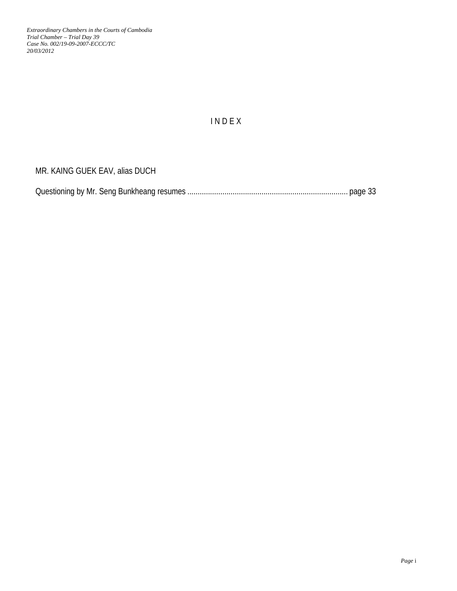## I N D E X

MR. KAING GUEK EAV, alias DUCH

|--|--|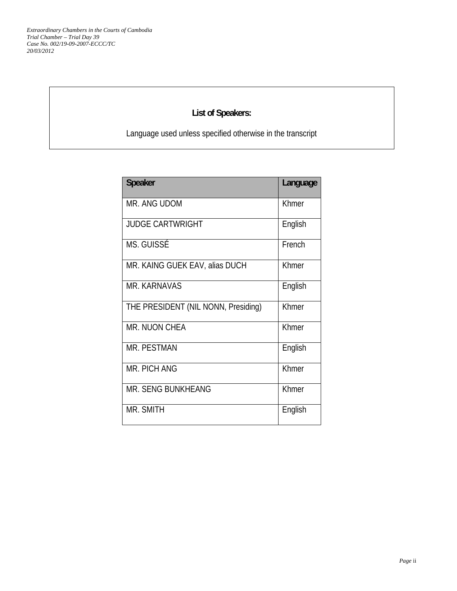## **List of Speakers:**

Language used unless specified otherwise in the transcript

| <b>Speaker</b>                      | Language |
|-------------------------------------|----------|
| MR. ANG UDOM                        | Khmer    |
| <b>JUDGE CARTWRIGHT</b>             | English  |
| MS. GUISSÉ                          | French   |
| MR. KAING GUEK EAV, alias DUCH      | Khmer    |
| MR. KARNAVAS                        | English  |
| THE PRESIDENT (NIL NONN, Presiding) | Khmer    |
| MR. NUON CHEA                       | Khmer    |
| <b>MR. PESTMAN</b>                  | English  |
| MR. PICH ANG                        | Khmer    |
| MR. SENG BUNKHEANG                  | Khmer    |
| MR. SMITH                           | English  |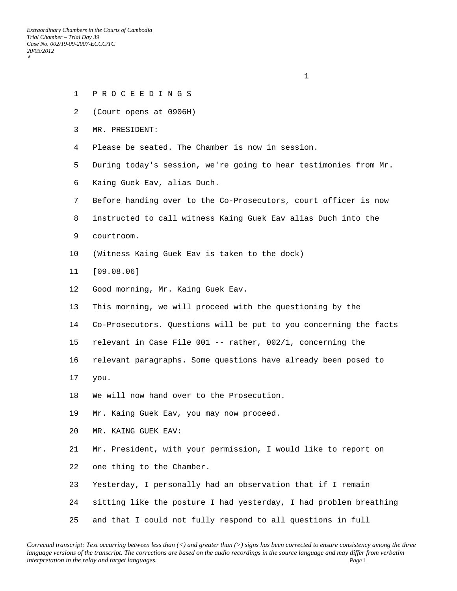\*

#### 1 P R O C E E D I N G S

- 2 (Court opens at 0906H)
- 3 MR. PRESIDENT:
- 4 Please be seated. The Chamber is now in session.

- 5 During today's session, we're going to hear testimonies from Mr.
- 6 Kaing Guek Eav, alias Duch.
- 7 Before handing over to the Co-Prosecutors, court officer is now
- 8 instructed to call witness Kaing Guek Eav alias Duch into the
- 9 courtroom.
- 10 (Witness Kaing Guek Eav is taken to the dock)
- 11 [09.08.06]
- 12 Good morning, Mr. Kaing Guek Eav.
- 13 This morning, we will proceed with the questioning by the
- 14 Co-Prosecutors. Questions will be put to you concerning the facts
- 15 relevant in Case File 001 -- rather, 002/1, concerning the
- 16 relevant paragraphs. Some questions have already been posed to
- 17 you.
- 18 We will now hand over to the Prosecution.
- 19 Mr. Kaing Guek Eav, you may now proceed.
- 20 MR. KAING GUEK EAV:
- 21 Mr. President, with your permission, I would like to report on
- 22 one thing to the Chamber.
- 23 Yesterday, I personally had an observation that if I remain
- 24 sitting like the posture I had yesterday, I had problem breathing
- 25 and that I could not fully respond to all questions in full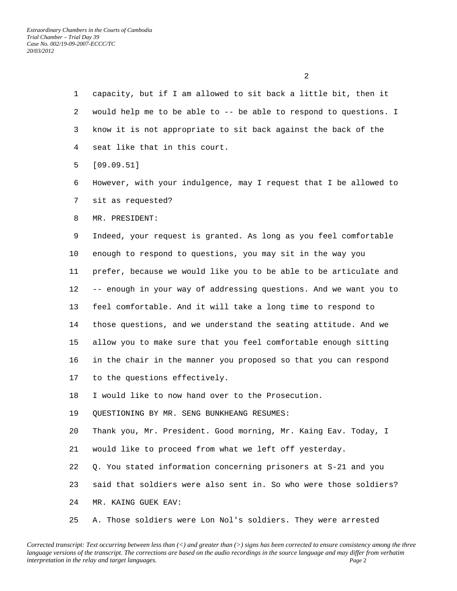- 1 capacity, but if I am allowed to sit back a little bit, then it 2 would help me to be able to -- be able to respond to questions. I 3 know it is not appropriate to sit back against the back of the 4 seat like that in this court.
- 5 [09.09.51]
- 6 However, with your indulgence, may I request that I be allowed to 7 sit as requested?
- 8 MR. PRESIDENT:

 9 Indeed, your request is granted. As long as you feel comfortable 10 enough to respond to questions, you may sit in the way you 11 prefer, because we would like you to be able to be articulate and 12 -- enough in your way of addressing questions. And we want you to 13 feel comfortable. And it will take a long time to respond to 14 those questions, and we understand the seating attitude. And we 15 allow you to make sure that you feel comfortable enough sitting 16 in the chair in the manner you proposed so that you can respond 17 to the questions effectively.

18 I would like to now hand over to the Prosecution.

19 QUESTIONING BY MR. SENG BUNKHEANG RESUMES:

20 Thank you, Mr. President. Good morning, Mr. Kaing Eav. Today, I

21 would like to proceed from what we left off yesterday.

22 Q. You stated information concerning prisoners at S-21 and you

23 said that soldiers were also sent in. So who were those soldiers?

24 MR. KAING GUEK EAV:

25 A. Those soldiers were Lon Nol's soldiers. They were arrested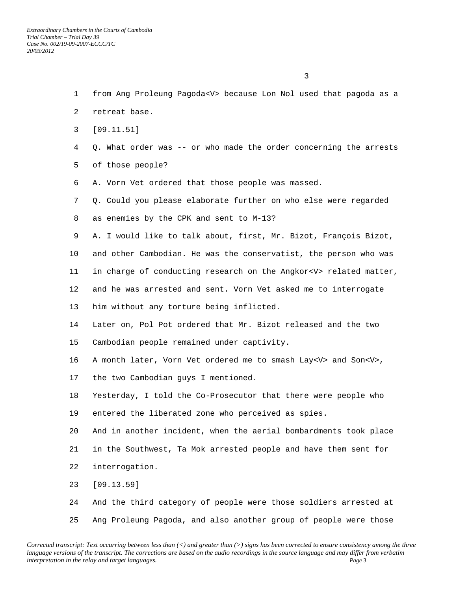$\sim$  3

 2 retreat base. 3 [09.11.51] 4 Q. What order was -- or who made the order concerning the arrests 5 of those people? 6 A. Vorn Vet ordered that those people was massed. 7 Q. Could you please elaborate further on who else were regarded 8 as enemies by the CPK and sent to M-13? 9 A. I would like to talk about, first, Mr. Bizot, François Bizot, 10 and other Cambodian. He was the conservatist, the person who was 11 in charge of conducting research on the Angkor<V> related matter, 12 and he was arrested and sent. Vorn Vet asked me to interrogate 13 him without any torture being inflicted. 14 Later on, Pol Pot ordered that Mr. Bizot released and the two 15 Cambodian people remained under captivity. 16 A month later, Vorn Vet ordered me to smash Lay<V> and Son<V>, 17 the two Cambodian guys I mentioned. 18 Yesterday, I told the Co-Prosecutor that there were people who 19 entered the liberated zone who perceived as spies. 20 And in another incident, when the aerial bombardments took place 21 in the Southwest, Ta Mok arrested people and have them sent for 22 interrogation. 23 [09.13.59] 24 And the third category of people were those soldiers arrested at

1 from Ang Proleung Pagoda<V> because Lon Nol used that pagoda as a

*Corrected transcript: Text occurring between less than (<) and greater than (>) signs has been corrected to ensure consistency among the three language versions of the transcript. The corrections are based on the audio recordings in the source language and may differ from verbatim interpretation in the relay and target languages. Page* 3

25 Ang Proleung Pagoda, and also another group of people were those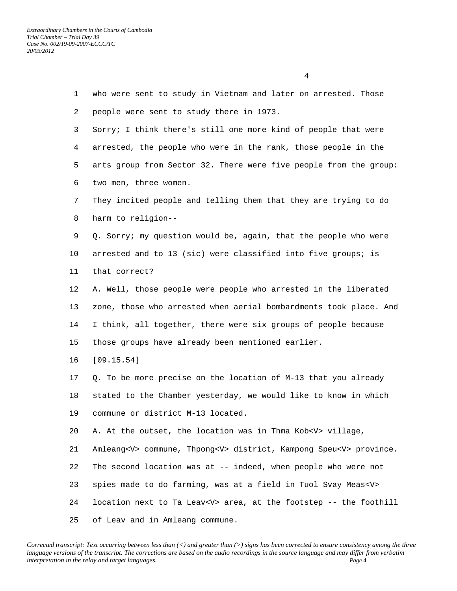1 who were sent to study in Vietnam and later on arrested. Those 2 people were sent to study there in 1973. 3 Sorry; I think there's still one more kind of people that were 4 arrested, the people who were in the rank, those people in the 5 arts group from Sector 32. There were five people from the group: 6 two men, three women. 7 They incited people and telling them that they are trying to do 8 harm to religion-- 9 Q. Sorry; my question would be, again, that the people who were 10 arrested and to 13 (sic) were classified into five groups; is 11 that correct? 12 A. Well, those people were people who arrested in the liberated 13 zone, those who arrested when aerial bombardments took place. And 14 I think, all together, there were six groups of people because 15 those groups have already been mentioned earlier. 16 [09.15.54] 17 Q. To be more precise on the location of M-13 that you already 18 stated to the Chamber yesterday, we would like to know in which 19 commune or district M-13 located. 20 A. At the outset, the location was in Thma Kob<V> village, 21 Amleang<V> commune, Thpong<V> district, Kampong Speu<V> province. 22 The second location was at -- indeed, when people who were not 23 spies made to do farming, was at a field in Tuol Svay Meas<V> 24 location next to Ta Leav<V> area, at the footstep -- the foothill 25 of Leav and in Amleang commune.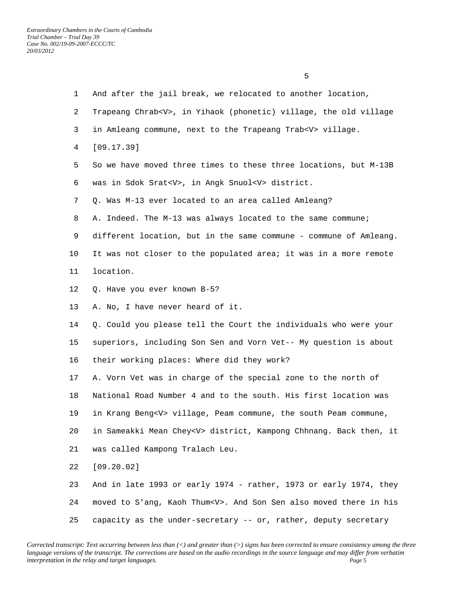$\sim$  5

| $\mathbf{1}$ | And after the jail break, we relocated to another location,            |
|--------------|------------------------------------------------------------------------|
| 2            | Trapeang Chrab <v>, in Yihaok (phonetic) village, the old village</v>  |
| 3            | in Amleang commune, next to the Trapeang Trab <v> village.</v>         |
| 4            | [09.17.39]                                                             |
| 5            | So we have moved three times to these three locations, but M-13B       |
| 6            | was in Sdok Srat <v>, in Angk Snuol<v> district.</v></v>               |
| 7            | Q. Was M-13 ever located to an area called Amleang?                    |
| 8            | A. Indeed. The M-13 was always located to the same commune;            |
| 9            | different location, but in the same commune - commune of Amleang.      |
| 10           | It was not closer to the populated area; it was in a more remote       |
| 11           | location.                                                              |
| 12           | Q. Have you ever known B-5?                                            |
| 13           | A. No, I have never heard of it.                                       |
| 14           | Q. Could you please tell the Court the individuals who were your       |
| 15           | superiors, including Son Sen and Vorn Vet-- My question is about       |
| 16           | their working places: Where did they work?                             |
| 17           | A. Vorn Vet was in charge of the special zone to the north of          |
| 18           | National Road Number 4 and to the south. His first location was        |
| 19           | in Krang Beng <v> village, Peam commune, the south Peam commune,</v>   |
| 20           | in Sameakki Mean Chey <v> district, Kampong Chhnang. Back then, it</v> |
| 21           | was called Kampong Tralach Leu.                                        |
| 22           | [09.20.02]                                                             |
| 23           | And in late 1993 or early 1974 - rather, 1973 or early 1974, they      |
| 24           | moved to S'ang, Kaoh Thum <v>. And Son Sen also moved there in his</v> |
| 25           | capacity as the under-secretary -- or, rather, deputy secretary        |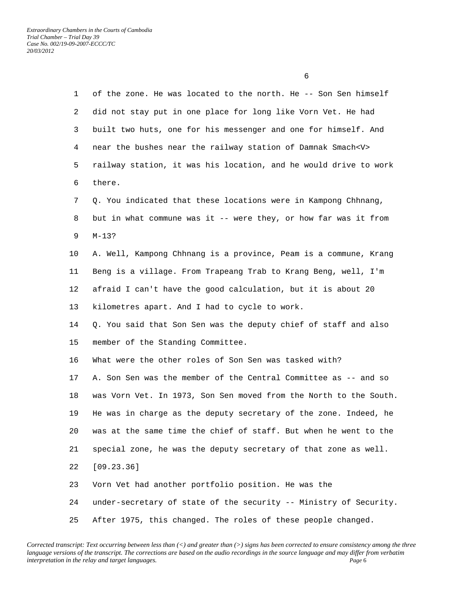1 of the zone. He was located to the north. He -- Son Sen himself 2 did not stay put in one place for long like Vorn Vet. He had 3 built two huts, one for his messenger and one for himself. And 4 near the bushes near the railway station of Damnak Smach<V> 5 railway station, it was his location, and he would drive to work 6 there. 7 Q. You indicated that these locations were in Kampong Chhnang, 8 but in what commune was it -- were they, or how far was it from 9 M-13? 10 A. Well, Kampong Chhnang is a province, Peam is a commune, Krang 11 Beng is a village. From Trapeang Trab to Krang Beng, well, I'm 12 afraid I can't have the good calculation, but it is about 20 13 kilometres apart. And I had to cycle to work. 14 Q. You said that Son Sen was the deputy chief of staff and also 15 member of the Standing Committee. 16 What were the other roles of Son Sen was tasked with? 17 A. Son Sen was the member of the Central Committee as -- and so 18 was Vorn Vet. In 1973, Son Sen moved from the North to the South. 19 He was in charge as the deputy secretary of the zone. Indeed, he 20 was at the same time the chief of staff. But when he went to the 21 special zone, he was the deputy secretary of that zone as well. 22 [09.23.36] 23 Vorn Vet had another portfolio position. He was the 24 under-secretary of state of the security -- Ministry of Security.

25 After 1975, this changed. The roles of these people changed.

 $\sim$  6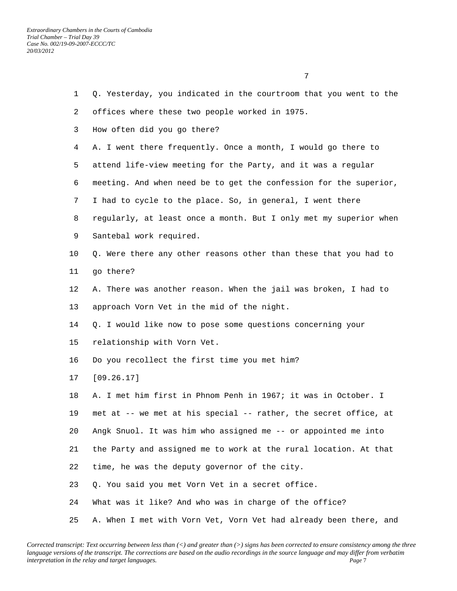| $\mathbf{1}$ | Q. Yesterday, you indicated in the courtroom that you went to the |
|--------------|-------------------------------------------------------------------|
| 2            | offices where these two people worked in 1975.                    |
| 3            | How often did you go there?                                       |
| 4            | A. I went there frequently. Once a month, I would go there to     |
| 5            | attend life-view meeting for the Party, and it was a regular      |
| 6            | meeting. And when need be to get the confession for the superior, |
| 7            | I had to cycle to the place. So, in general, I went there         |
| 8            | regularly, at least once a month. But I only met my superior when |
| 9            | Santebal work required.                                           |
| 10           | Q. Were there any other reasons other than these that you had to  |
| 11           | go there?                                                         |
| 12           | A. There was another reason. When the jail was broken, I had to   |
| 13           | approach Vorn Vet in the mid of the night.                        |
| 14           | Q. I would like now to pose some questions concerning your        |
| 15           | relationship with Vorn Vet.                                       |
| 16           | Do you recollect the first time you met him?                      |
| 17           | [09.26.17]                                                        |
| 18           | A. I met him first in Phnom Penh in 1967; it was in October. I    |
| 19           | met at -- we met at his special -- rather, the secret office, at  |
| 20           | Angk Snuol. It was him who assigned me -- or appointed me into    |
| 21           | the Party and assigned me to work at the rural location. At that  |
| 22           | time, he was the deputy governor of the city.                     |
| 23           | Q. You said you met Vorn Vet in a secret office.                  |
| 24           | What was it like? And who was in charge of the office?            |
| 25           | A. When I met with Vorn Vet, Vorn Vet had already been there, and |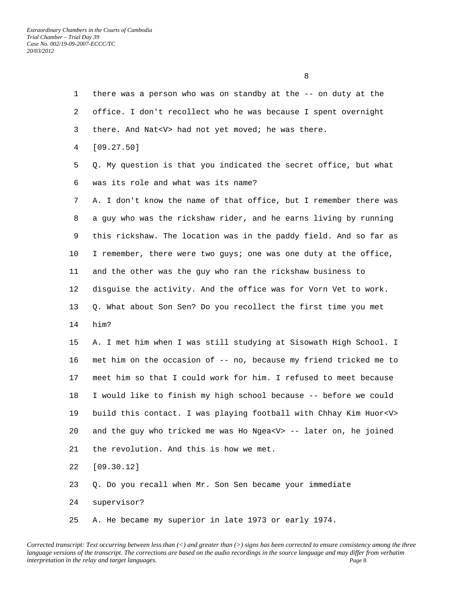1 there was a person who was on standby at the -- on duty at the 2 office. I don't recollect who he was because I spent overnight 3 there. And Nat<V> had not yet moved; he was there. 4 [09.27.50] 5 Q. My question is that you indicated the secret office, but what 6 was its role and what was its name? 7 A. I don't know the name of that office, but I remember there was 8 a guy who was the rickshaw rider, and he earns living by running 9 this rickshaw. The location was in the paddy field. And so far as 10 I remember, there were two guys; one was one duty at the office, 11 and the other was the guy who ran the rickshaw business to 12 disguise the activity. And the office was for Vorn Vet to work. 13 Q. What about Son Sen? Do you recollect the first time you met 14 him? 15 A. I met him when I was still studying at Sisowath High School. I 16 met him on the occasion of -- no, because my friend tricked me to 17 meet him so that I could work for him. I refused to meet because 18 I would like to finish my high school because -- before we could 19 build this contact. I was playing football with Chhay Kim Huor<V> 20 and the guy who tricked me was Ho Ngea<V> -- later on, he joined 21 the revolution. And this is how we met. 22 [09.30.12] 23 Q. Do you recall when Mr. Son Sen became your immediate 24 supervisor?

25 A. He became my superior in late 1973 or early 1974.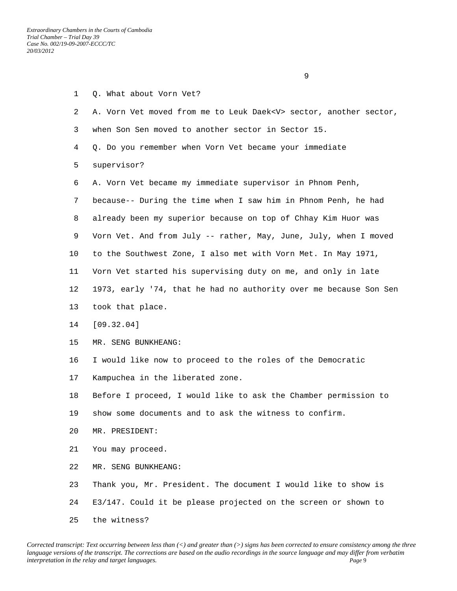25 the witness?

|                 | 9                                                                      |
|-----------------|------------------------------------------------------------------------|
| $\mathbf{1}$    | Q. What about Vorn Vet?                                                |
| 2               | A. Vorn Vet moved from me to Leuk Daek <v> sector, another sector,</v> |
| 3               | when Son Sen moved to another sector in Sector 15.                     |
| 4               | Q. Do you remember when Vorn Vet became your immediate                 |
| 5               | supervisor?                                                            |
| 6               | A. Vorn Vet became my immediate supervisor in Phnom Penh,              |
| 7               | because-- During the time when I saw him in Phnom Penh, he had         |
| 8               | already been my superior because on top of Chhay Kim Huor was          |
| 9               | Vorn Vet. And from July -- rather, May, June, July, when I moved       |
| 10              | to the Southwest Zone, I also met with Vorn Met. In May 1971,          |
| 11              | Vorn Vet started his supervising duty on me, and only in late          |
| 12 <sup>°</sup> | 1973, early '74, that he had no authority over me because Son Sen      |
| 13              | took that place.                                                       |
| 14              | [09.32.04]                                                             |
| 15              | MR. SENG BUNKHEANG:                                                    |
| 16              | I would like now to proceed to the roles of the Democratic             |
| $17 \,$         | Kampuchea in the liberated zone.                                       |
| 18              | Before I proceed, I would like to ask the Chamber permission to        |
| 19              | show some documents and to ask the witness to confirm.                 |
| 20              | MR. PRESIDENT:                                                         |
| 21              | You may proceed.                                                       |
| 22              | MR. SENG BUNKHEANG:                                                    |
| 23              | Thank you, Mr. President. The document I would like to show is         |
| 24              | E3/147. Could it be please projected on the screen or shown to         |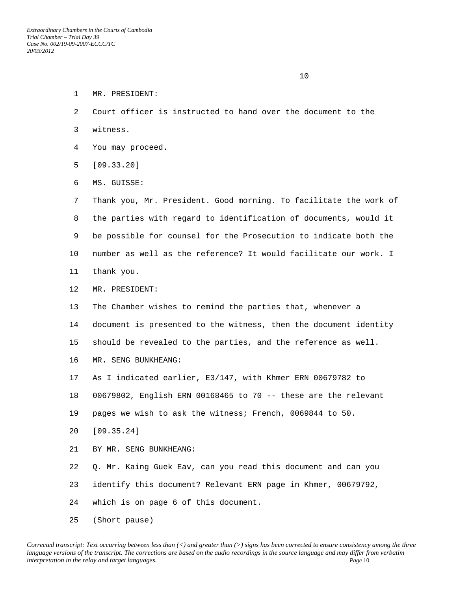- 1 MR. PRESIDENT:
- 2 Court officer is instructed to hand over the document to the
- 3 witness.
- 4 You may proceed.
- 5 [09.33.20]
- 6 MS. GUISSE:

 7 Thank you, Mr. President. Good morning. To facilitate the work of 8 the parties with regard to identification of documents, would it 9 be possible for counsel for the Prosecution to indicate both the 10 number as well as the reference? It would facilitate our work. I 11 thank you.

- 12 MR. PRESIDENT:
- 13 The Chamber wishes to remind the parties that, whenever a
- 14 document is presented to the witness, then the document identity

15 should be revealed to the parties, and the reference as well.

- 16 MR. SENG BUNKHEANG:
- 17 As I indicated earlier, E3/147, with Khmer ERN 00679782 to
- 18 00679802, English ERN 00168465 to 70 -- these are the relevant
- 19 pages we wish to ask the witness; French, 0069844 to 50.
- 20 [09.35.24]
- 21 BY MR. SENG BUNKHEANG:
- 22 Q. Mr. Kaing Guek Eav, can you read this document and can you
- 23 identify this document? Relevant ERN page in Khmer, 00679792,

24 which is on page 6 of this document.

25 (Short pause)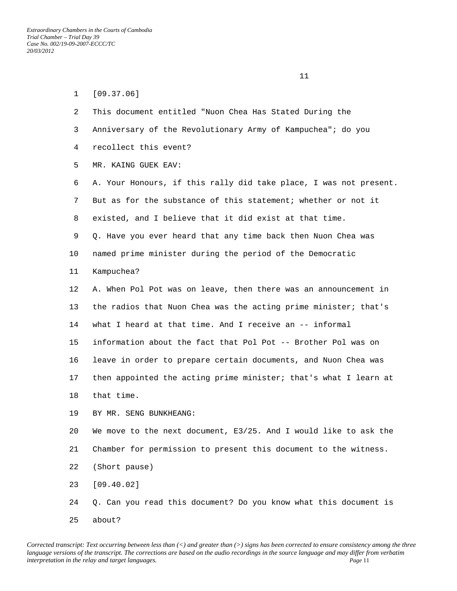| $\mathbf{1}$ | [09.37.06]                                                        |
|--------------|-------------------------------------------------------------------|
| 2            | This document entitled "Nuon Chea Has Stated During the           |
| 3            | Anniversary of the Revolutionary Army of Kampuchea"; do you       |
| 4            | recollect this event?                                             |
| 5            | MR. KAING GUEK EAV:                                               |
| 6            | A. Your Honours, if this rally did take place, I was not present. |
| 7            | But as for the substance of this statement; whether or not it     |
| 8            | existed, and I believe that it did exist at that time.            |
| 9            | Q. Have you ever heard that any time back then Nuon Chea was      |
| 10           | named prime minister during the period of the Democratic          |
| 11           | Kampuchea?                                                        |
| 12           | A. When Pol Pot was on leave, then there was an announcement in   |
| 13           | the radios that Nuon Chea was the acting prime minister; that's   |
| 14           | what I heard at that time. And I receive an -- informal           |
| 15           | information about the fact that Pol Pot -- Brother Pol was on     |
| 16           | leave in order to prepare certain documents, and Nuon Chea was    |
| 17           | then appointed the acting prime minister; that's what I learn at  |
| 18           | that time.                                                        |
| 19           | BY MR. SENG BUNKHEANG:                                            |
| 20           | We move to the next document, E3/25. And I would like to ask the  |
| 21           | Chamber for permission to present this document to the witness.   |
| 22           | (Short pause)                                                     |
| 23           | [09.40.02]                                                        |
| 24           | Q. Can you read this document? Do you know what this document is  |
| 25           | about?                                                            |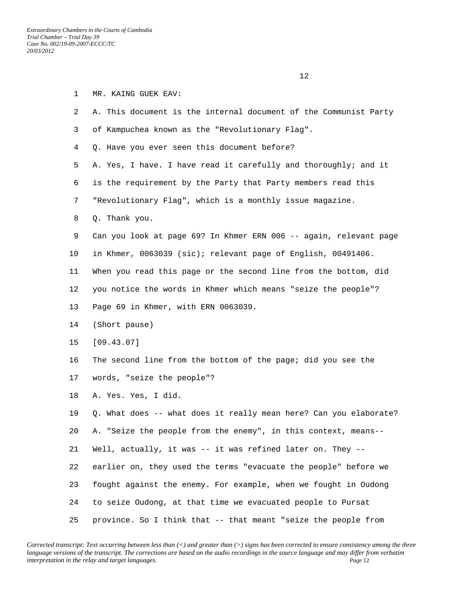| 1  | MR. KAING GUEK EAV:                                               |
|----|-------------------------------------------------------------------|
| 2  | A. This document is the internal document of the Communist Party  |
| 3  | of Kampuchea known as the "Revolutionary Flag".                   |
| 4  | Q. Have you ever seen this document before?                       |
| 5  | A. Yes, I have. I have read it carefully and thoroughly; and it   |
| 6  | is the requirement by the Party that Party members read this      |
| 7  | "Revolutionary Flag", which is a monthly issue magazine.          |
| 8  | Q. Thank you.                                                     |
| 9  | Can you look at page 69? In Khmer ERN 006 -- again, relevant page |
| 10 | in Khmer, 0063039 (sic); relevant page of English, 00491406.      |
| 11 | When you read this page or the second line from the bottom, did   |
| 12 | you notice the words in Khmer which means "seize the people"?     |
| 13 | Page 69 in Khmer, with ERN 0063039.                               |
| 14 | (Short pause)                                                     |
| 15 | [09.43.07]                                                        |
| 16 | The second line from the bottom of the page; did you see the      |
| 17 | words, "seize the people"?                                        |
| 18 | A. Yes. Yes, I did.                                               |
| 19 | Q. What does -- what does it really mean here? Can you elaborate? |
| 20 | A. "Seize the people from the enemy", in this context, means--    |
| 21 | Well, actually, it was -- it was refined later on. They --        |
| 22 | earlier on, they used the terms "evacuate the people" before we   |
| 23 | fought against the enemy. For example, when we fought in Oudong   |
| 24 | to seize Oudong, at that time we evacuated people to Pursat       |
| 25 | province. So I think that -- that meant "seize the people from    |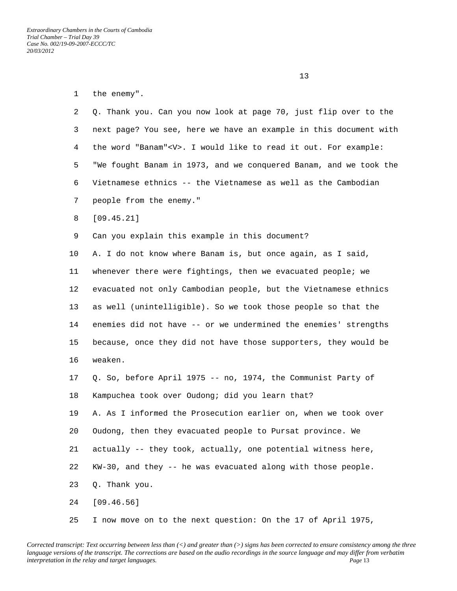*Extraordinary Chambers in the Courts of Cambodia Trial Chamber – Trial Day 39 Case No. 002/19-09-2007-ECCC/TC 20/03/2012* 

 $13$ 

| 1  | the enemy".                                                         |
|----|---------------------------------------------------------------------|
| 2  | Q. Thank you. Can you now look at page 70, just flip over to the    |
| 3  | next page? You see, here we have an example in this document with   |
| 4  | the word "Banam" <v>. I would like to read it out. For example:</v> |
| 5  | "We fought Banam in 1973, and we conquered Banam, and we took the   |
| 6  | Vietnamese ethnics -- the Vietnamese as well as the Cambodian       |
| 7  | people from the enemy."                                             |
| 8  | [09.45.21]                                                          |
| 9  | Can you explain this example in this document?                      |
| 10 | A. I do not know where Banam is, but once again, as I said,         |
| 11 | whenever there were fightings, then we evacuated people; we         |
| 12 | evacuated not only Cambodian people, but the Vietnamese ethnics     |
| 13 | as well (unintelligible). So we took those people so that the       |
| 14 | enemies did not have -- or we undermined the enemies' strengths     |
| 15 | because, once they did not have those supporters, they would be     |
| 16 | weaken.                                                             |
| 17 | Q. So, before April 1975 -- no, 1974, the Communist Party of        |
| 18 | Kampuchea took over Oudong; did you learn that?                     |
| 19 | A. As I informed the Prosecution earlier on, when we took over      |
| 20 | Oudong, then they evacuated people to Pursat province. We           |
| 21 | actually -- they took, actually, one potential witness here,        |
| 22 | KW-30, and they -- he was evacuated along with those people.        |
| 23 | Q. Thank you.                                                       |
| 24 | [09.46.56]                                                          |
| 25 | I now move on to the next question: On the 17 of April 1975,        |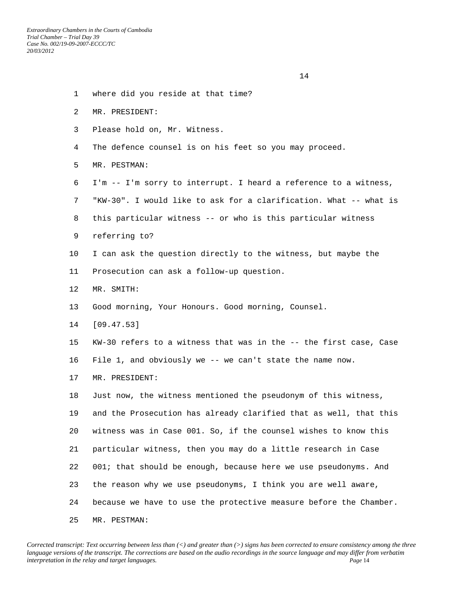*Extraordinary Chambers in the Courts of Cambodia Trial Chamber – Trial Day 39 Case No. 002/19-09-2007-ECCC/TC 20/03/2012* 

14

- 1 where did you reside at that time?
- 2 MR. PRESIDENT:
- 3 Please hold on, Mr. Witness.
- 4 The defence counsel is on his feet so you may proceed.
- 5 MR. PESTMAN:
- 6 I'm -- I'm sorry to interrupt. I heard a reference to a witness,
- 7 "KW-30". I would like to ask for a clarification. What -- what is
- 8 this particular witness -- or who is this particular witness
- 9 referring to?
- 10 I can ask the question directly to the witness, but maybe the
- 11 Prosecution can ask a follow-up question.
- 12 MR. SMITH:
- 13 Good morning, Your Honours. Good morning, Counsel.
- 14 [09.47.53]
- 15 KW-30 refers to a witness that was in the -- the first case, Case
- 16 File 1, and obviously we -- we can't state the name now.
- 17 MR. PRESIDENT:

 18 Just now, the witness mentioned the pseudonym of this witness, 19 and the Prosecution has already clarified that as well, that this 20 witness was in Case 001. So, if the counsel wishes to know this 21 particular witness, then you may do a little research in Case 22 001; that should be enough, because here we use pseudonyms. And 23 the reason why we use pseudonyms, I think you are well aware, 24 because we have to use the protective measure before the Chamber. 25 MR. PESTMAN: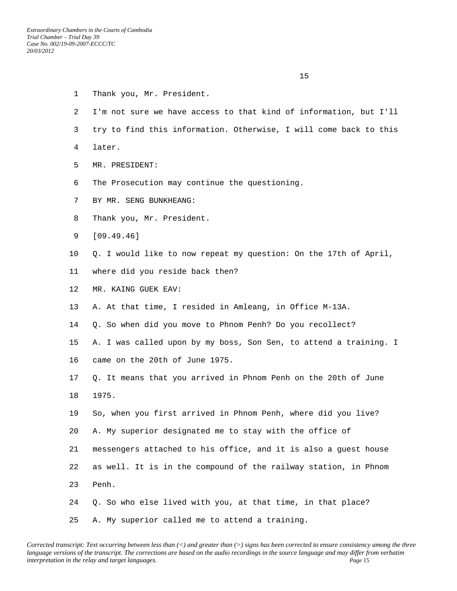- 1 Thank you, Mr. President.
- 2 I'm not sure we have access to that kind of information, but I'll
- 3 try to find this information. Otherwise, I will come back to this
- 4 later.
- 5 MR. PRESIDENT:
- 6 The Prosecution may continue the questioning.
- 7 BY MR. SENG BUNKHEANG:
- 8 Thank you, Mr. President.
- 9 [09.49.46]
- 10 Q. I would like to now repeat my question: On the 17th of April,
- 11 where did you reside back then?
- 12 MR. KAING GUEK EAV:
- 13 A. At that time, I resided in Amleang, in Office M-13A.
- 14 Q. So when did you move to Phnom Penh? Do you recollect?

 15 A. I was called upon by my boss, Son Sen, to attend a training. I 16 came on the 20th of June 1975.

- 17 Q. It means that you arrived in Phnom Penh on the 20th of June 18 1975.
- 19 So, when you first arrived in Phnom Penh, where did you live? 20 A. My superior designated me to stay with the office of
- 21 messengers attached to his office, and it is also a guest house
- 22 as well. It is in the compound of the railway station, in Phnom
- 23 Penh.
- 24 Q. So who else lived with you, at that time, in that place? 25 A. My superior called me to attend a training.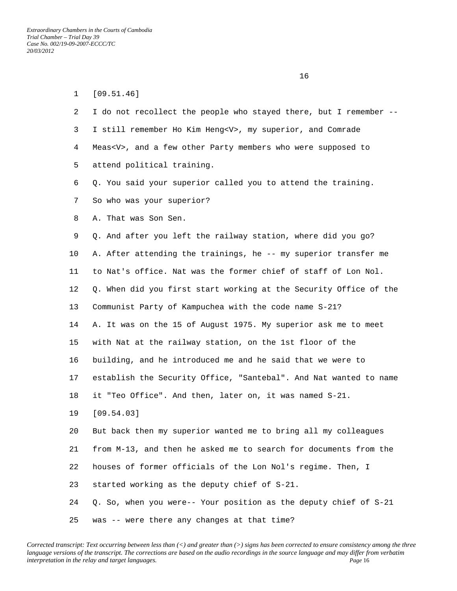| $\mathbf{1}$ | [09.51.46]                                                        |
|--------------|-------------------------------------------------------------------|
| 2            | I do not recollect the people who stayed there, but I remember -- |
| 3            | I still remember Ho Kim Heng <v>, my superior, and Comrade</v>    |
| 4            | Meas <v>, and a few other Party members who were supposed to</v>  |
| 5            | attend political training.                                        |
| 6            | Q. You said your superior called you to attend the training.      |
| 7            | So who was your superior?                                         |
| 8            | A. That was Son Sen.                                              |
| 9            | Q. And after you left the railway station, where did you go?      |
| 10           | A. After attending the trainings, he -- my superior transfer me   |
| 11           | to Nat's office. Nat was the former chief of staff of Lon Nol.    |
| 12           | Q. When did you first start working at the Security Office of the |
| 13           | Communist Party of Kampuchea with the code name S-21?             |
| 14           | A. It was on the 15 of August 1975. My superior ask me to meet    |
| 15           | with Nat at the railway station, on the 1st floor of the          |
| 16           | building, and he introduced me and he said that we were to        |
| $17 \,$      | establish the Security Office, "Santebal". And Nat wanted to name |
| 18           | it "Teo Office". And then, later on, it was named S-21.           |
| 19           | [09.54.03]                                                        |
| 20           | But back then my superior wanted me to bring all my colleagues    |
| 21           | from M-13, and then he asked me to search for documents from the  |
| 22           | houses of former officials of the Lon Nol's regime. Then, I       |
| 23           | started working as the deputy chief of S-21.                      |
| 24           | Q. So, when you were-- Your position as the deputy chief of S-21  |
| 25           | was -- were there any changes at that time?                       |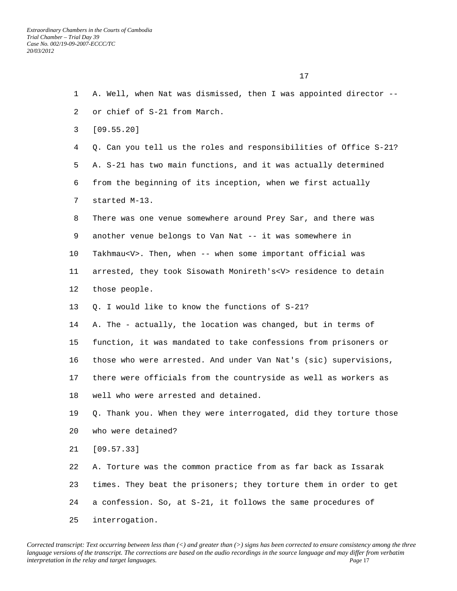1 A. Well, when Nat was dismissed, then I was appointed director -- 2 or chief of S-21 from March. 3 [09.55.20] 4 Q. Can you tell us the roles and responsibilities of Office S-21? 5 A. S-21 has two main functions, and it was actually determined 6 from the beginning of its inception, when we first actually 7 started M-13. 8 There was one venue somewhere around Prey Sar, and there was 9 another venue belongs to Van Nat -- it was somewhere in 10 Takhmau<V>. Then, when -- when some important official was 11 arrested, they took Sisowath Monireth's<V> residence to detain 12 those people. 13 Q. I would like to know the functions of S-21? 14 A. The - actually, the location was changed, but in terms of 15 function, it was mandated to take confessions from prisoners or 16 those who were arrested. And under Van Nat's (sic) supervisions, 17 there were officials from the countryside as well as workers as 18 well who were arrested and detained. 19 Q. Thank you. When they were interrogated, did they torture those 20 who were detained? 21 [09.57.33] 22 A. Torture was the common practice from as far back as Issarak 23 times. They beat the prisoners; they torture them in order to get 24 a confession. So, at S-21, it follows the same procedures of 25 interrogation.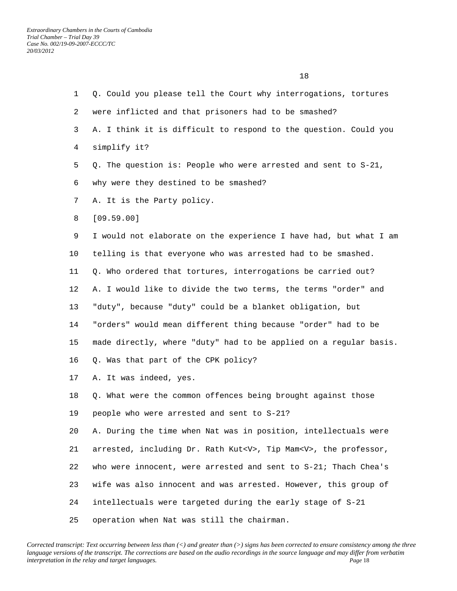| $\mathbf{1}$ | Q. Could you please tell the Court why interrogations, tortures          |
|--------------|--------------------------------------------------------------------------|
| 2            | were inflicted and that prisoners had to be smashed?                     |
| 3            | A. I think it is difficult to respond to the question. Could you         |
| 4            | simplify it?                                                             |
| 5            | Q. The question is: People who were arrested and sent to S-21,           |
| 6            | why were they destined to be smashed?                                    |
| 7            | A. It is the Party policy.                                               |
| 8            | [09.59.00]                                                               |
| 9            | I would not elaborate on the experience I have had, but what I am        |
| 10           | telling is that everyone who was arrested had to be smashed.             |
| 11           | Q. Who ordered that tortures, interrogations be carried out?             |
| 12           | A. I would like to divide the two terms, the terms "order" and           |
| 13           | "duty", because "duty" could be a blanket obligation, but                |
| 14           | "orders" would mean different thing because "order" had to be            |
| 15           | made directly, where "duty" had to be applied on a regular basis.        |
| 16           | Q. Was that part of the CPK policy?                                      |
| 17           | A. It was indeed, yes.                                                   |
| 18           | Q. What were the common offences being brought against those             |
| 19           | people who were arrested and sent to S-21?                               |
| 20           | A. During the time when Nat was in position, intellectuals were          |
| 21           | arrested, including Dr. Rath Kut <v>, Tip Mam<v>, the professor,</v></v> |
| 22           | who were innocent, were arrested and sent to S-21; Thach Chea's          |
| 23           | wife was also innocent and was arrested. However, this group of          |
| 24           | intellectuals were targeted during the early stage of S-21               |
| 25           | operation when Nat was still the chairman.                               |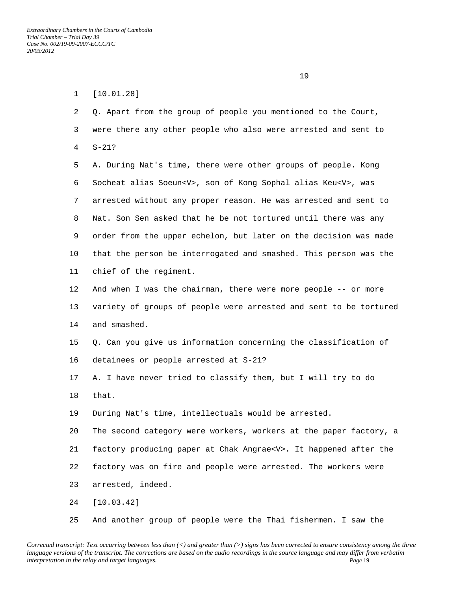1 [10.01.28] 2 Q. Apart from the group of people you mentioned to the Court, 3 were there any other people who also were arrested and sent to 4 S-21? 5 A. During Nat's time, there were other groups of people. Kong 6 Socheat alias Soeun<V>, son of Kong Sophal alias Keu<V>, was 7 arrested without any proper reason. He was arrested and sent to 8 Nat. Son Sen asked that he be not tortured until there was any 9 order from the upper echelon, but later on the decision was made 10 that the person be interrogated and smashed. This person was the 11 chief of the regiment. 12 And when I was the chairman, there were more people -- or more 13 variety of groups of people were arrested and sent to be tortured 14 and smashed. 15 Q. Can you give us information concerning the classification of 16 detainees or people arrested at S-21? 17 A. I have never tried to classify them, but I will try to do 18 that. 19 During Nat's time, intellectuals would be arrested. 20 The second category were workers, workers at the paper factory, a 21 factory producing paper at Chak Angrae<V>. It happened after the 22 factory was on fire and people were arrested. The workers were 23 arrested, indeed. 24 [10.03.42]

25 And another group of people were the Thai fishermen. I saw the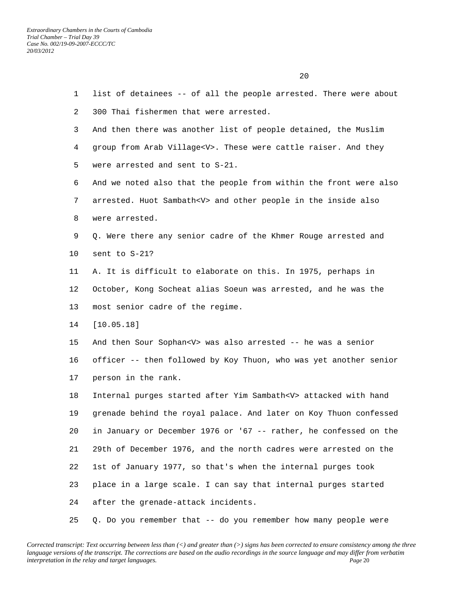| $\mathbf{1}$ | list of detainees -- of all the people arrested. There were about    |
|--------------|----------------------------------------------------------------------|
| 2            | 300 Thai fishermen that were arrested.                               |
| 3            | And then there was another list of people detained, the Muslim       |
| 4            | group from Arab Village <v>. These were cattle raiser. And they</v>  |
| 5            | were arrested and sent to S-21.                                      |
| 6            | And we noted also that the people from within the front were also    |
| 7            | arrested. Huot Sambath <v> and other people in the inside also</v>   |
| 8            | were arrested.                                                       |
| 9            | Q. Were there any senior cadre of the Khmer Rouge arrested and       |
| 10           | sent to S-21?                                                        |
| 11           | A. It is difficult to elaborate on this. In 1975, perhaps in         |
| 12           | October, Kong Socheat alias Soeun was arrested, and he was the       |
| 13           | most senior cadre of the regime.                                     |
| 14           | [10.05.18]                                                           |
| 15           | And then Sour Sophan <v> was also arrested -- he was a senior</v>    |
| 16           | officer -- then followed by Koy Thuon, who was yet another senior    |
| 17           | person in the rank.                                                  |
| 18           | Internal purges started after Yim Sambath <v> attacked with hand</v> |
| 19           | grenade behind the royal palace. And later on Koy Thuon confessed    |
| 20           | in January or December 1976 or '67 -- rather, he confessed on the    |
| 21           | 29th of December 1976, and the north cadres were arrested on the     |
| 22           | 1st of January 1977, so that's when the internal purges took         |
| 23           | place in a large scale. I can say that internal purges started       |
| 24           | after the grenade-attack incidents.                                  |
| 25           | Q. Do you remember that -- do you remember how many people were      |

20 and 20 and 20 and 20 and 20 and 20 and 20 and 20 and 20 and 20 and 20 and 20 and 20 and 20 and 20 and 20 and 20 and 20 and 20 and 20 and 20 and 20 and 20 and 20 and 20 and 20 and 20 and 20 and 20 and 20 and 20 and 20 an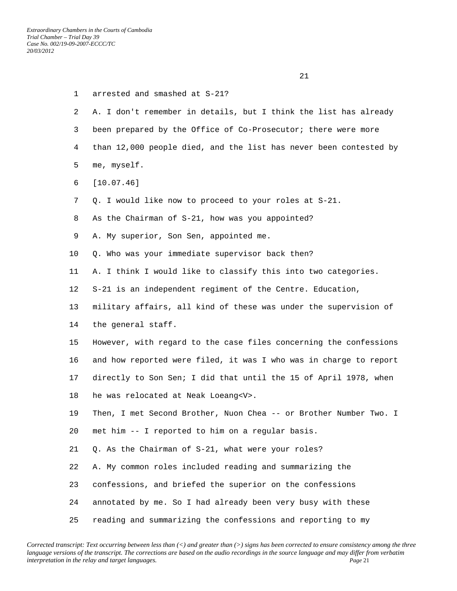| $\mathbf{1}$ | arrested and smashed at S-21?                                     |
|--------------|-------------------------------------------------------------------|
| 2            | A. I don't remember in details, but I think the list has already  |
| 3            | been prepared by the Office of Co-Prosecutor; there were more     |
| 4            | than 12,000 people died, and the list has never been contested by |
| 5            | me, myself.                                                       |
| 6            | [10.07.46]                                                        |
| 7            | Q. I would like now to proceed to your roles at S-21.             |
| 8            | As the Chairman of S-21, how was you appointed?                   |
| 9            | A. My superior, Son Sen, appointed me.                            |
| 10           | Q. Who was your immediate supervisor back then?                   |
| 11           | A. I think I would like to classify this into two categories.     |
| 12           | S-21 is an independent regiment of the Centre. Education,         |
| 13           | military affairs, all kind of these was under the supervision of  |
| 14           | the general staff.                                                |
| 15           | However, with regard to the case files concerning the confessions |
| 16           | and how reported were filed, it was I who was in charge to report |
| 17           | directly to Son Sen; I did that until the 15 of April 1978, when  |
| 18           | he was relocated at Neak Loeang <v>.</v>                          |
| 19           | Then, I met Second Brother, Nuon Chea -- or Brother Number Two. I |
| 20           | met him -- I reported to him on a regular basis.                  |
| 21           | Q. As the Chairman of S-21, what were your roles?                 |
| 22           | A. My common roles included reading and summarizing the           |
| 23           | confessions, and briefed the superior on the confessions          |
| 24           | annotated by me. So I had already been very busy with these       |
| 25           | reading and summarizing the confessions and reporting to my       |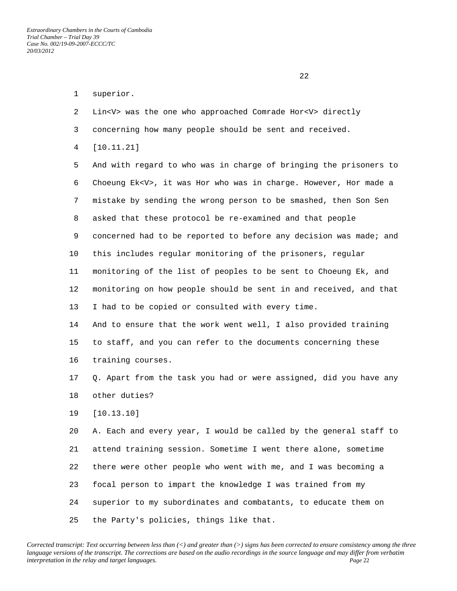22 and 23 and 23 and 23 and 23 and 23 and 23 and 23 and 23 and 23 and 23 and 23 and 23 and 23 and 23 and 23 and 24 and 25 and 26 and 26 and 26 and 26 and 26 and 26 and 26 and 26 and 26 and 26 and 26 and 26 and 26 and 26 an

- 1 superior.
- 2 Lin<V> was the one who approached Comrade Hor<V> directly
- 3 concerning how many people should be sent and received.
- 4 [10.11.21]

 5 And with regard to who was in charge of bringing the prisoners to 6 Choeung Ek<V>, it was Hor who was in charge. However, Hor made a 7 mistake by sending the wrong person to be smashed, then Son Sen 8 asked that these protocol be re-examined and that people 9 concerned had to be reported to before any decision was made; and 10 this includes regular monitoring of the prisoners, regular 11 monitoring of the list of peoples to be sent to Choeung Ek, and 12 monitoring on how people should be sent in and received, and that 13 I had to be copied or consulted with every time. 14 And to ensure that the work went well, I also provided training

 15 to staff, and you can refer to the documents concerning these 16 training courses.

 17 Q. Apart from the task you had or were assigned, did you have any 18 other duties?

19 [10.13.10]

 20 A. Each and every year, I would be called by the general staff to 21 attend training session. Sometime I went there alone, sometime 22 there were other people who went with me, and I was becoming a 23 focal person to impart the knowledge I was trained from my 24 superior to my subordinates and combatants, to educate them on 25 the Party's policies, things like that.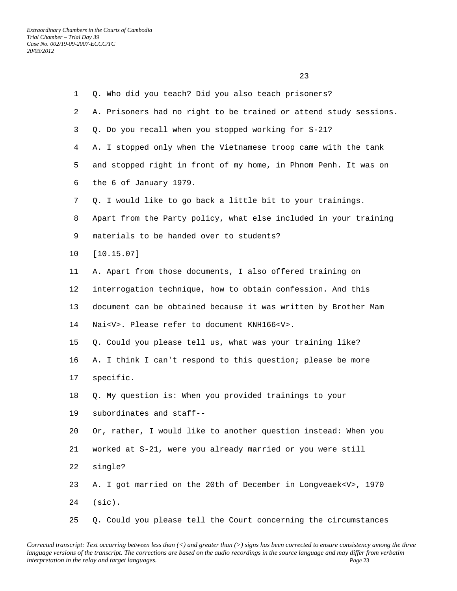23 and 23 and 23 and 23 and 23 and 23 and 23 and 23 and 23 and 23 and 23 and 23 and 23 and 23 and 23 and 23 and 24 and 25 and 25 and 25 and 25 and 26 and 26 and 26 and 26 and 26 and 26 and 26 and 26 and 26 and 26 and 26 an

| $\mathbf{1}$ | Q. Who did you teach? Did you also teach prisoners?                 |
|--------------|---------------------------------------------------------------------|
| 2            | A. Prisoners had no right to be trained or attend study sessions.   |
| 3            | Q. Do you recall when you stopped working for S-21?                 |
| 4            | A. I stopped only when the Vietnamese troop came with the tank      |
| 5            | and stopped right in front of my home, in Phnom Penh. It was on     |
| 6            | the 6 of January 1979.                                              |
| 7            | Q. I would like to go back a little bit to your trainings.          |
| 8            | Apart from the Party policy, what else included in your training    |
| 9            | materials to be handed over to students?                            |
| 10           | [10.15.07]                                                          |
| 11           | A. Apart from those documents, I also offered training on           |
| 12           | interrogation technique, how to obtain confession. And this         |
| 13           | document can be obtained because it was written by Brother Mam      |
| 14           | Nai <v>. Please refer to document KNH166<v>.</v></v>                |
| 15           | Q. Could you please tell us, what was your training like?           |
| 16           | A. I think I can't respond to this question; please be more         |
| 17           | specific.                                                           |
| 18           | Q. My question is: When you provided trainings to your              |
| 19           | subordinates and staff--                                            |
| 20           | Or, rather, I would like to another question instead: When you      |
| 21           | worked at S-21, were you already married or you were still          |
| 22           | single?                                                             |
| 23           | A. I got married on the 20th of December in Longveaek <v>, 1970</v> |
| 24           | $(sic)$ .                                                           |
| 25           | Q. Could you please tell the Court concerning the circumstances     |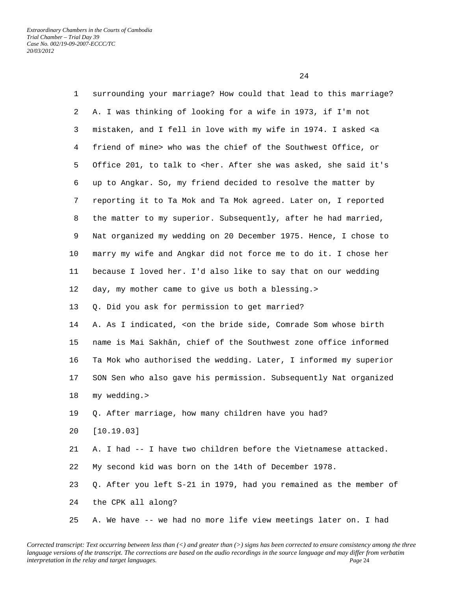24 and 24

| $\mathbf{1}$ | surrounding your marriage? How could that lead to this marriage?                                 |
|--------------|--------------------------------------------------------------------------------------------------|
| 2            | A. I was thinking of looking for a wife in 1973, if I'm not                                      |
| 3            | mistaken, and I fell in love with my wife in 1974. I asked <a< th=""></a<>                       |
| 4            | friend of mine> who was the chief of the Southwest Office, or                                    |
| 5            | Office 201, to talk to <her. after="" asked,="" it's<="" said="" she="" th="" was=""></her.>     |
| 6            | up to Angkar. So, my friend decided to resolve the matter by                                     |
| 7            | reporting it to Ta Mok and Ta Mok agreed. Later on, I reported                                   |
| 8            | the matter to my superior. Subsequently, after he had married,                                   |
| 9            | Nat organized my wedding on 20 December 1975. Hence, I chose to                                  |
| 10           | marry my wife and Angkar did not force me to do it. I chose her                                  |
| 11           | because I loved her. I'd also like to say that on our wedding                                    |
| 12           | day, my mother came to give us both a blessing.>                                                 |
| 13           | Q. Did you ask for permission to get married?                                                    |
| 14           | A. As I indicated, <on birth<="" bride="" comrade="" side,="" som="" th="" the="" whose=""></on> |
| 15           | name is Mai Sakhân, chief of the Southwest zone office informed                                  |
| 16           | Ta Mok who authorised the wedding. Later, I informed my superior                                 |
| 17           | SON Sen who also gave his permission. Subsequently Nat organized                                 |
| 18           | my wedding.>                                                                                     |
| 19           | Q. After marriage, how many children have you had?                                               |
| 20           | [10.19.03]                                                                                       |
| 21           | A. I had -- I have two children before the Vietnamese attacked.                                  |
| 22           | My second kid was born on the 14th of December 1978.                                             |
| 23           | Q. After you left S-21 in 1979, had you remained as the member of                                |
| 24           | the CPK all along?                                                                               |
| 25           | A. We have -- we had no more life view meetings later on. I had                                  |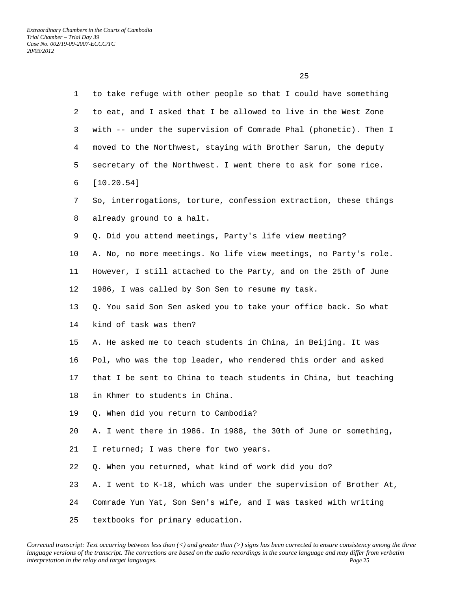| $\mathbf{1}$ | to take refuge with other people so that I could have something   |
|--------------|-------------------------------------------------------------------|
| 2            | to eat, and I asked that I be allowed to live in the West Zone    |
| 3            | with -- under the supervision of Comrade Phal (phonetic). Then I  |
| 4            | moved to the Northwest, staying with Brother Sarun, the deputy    |
| 5            | secretary of the Northwest. I went there to ask for some rice.    |
| 6            | [10.20.54]                                                        |
| 7            | So, interrogations, torture, confession extraction, these things  |
| 8            | already ground to a halt.                                         |
| 9            | Q. Did you attend meetings, Party's life view meeting?            |
| 10           | A. No, no more meetings. No life view meetings, no Party's role.  |
| 11           | However, I still attached to the Party, and on the 25th of June   |
| 12           | 1986, I was called by Son Sen to resume my task.                  |
| 13           | Q. You said Son Sen asked you to take your office back. So what   |
| 14           | kind of task was then?                                            |
| 15           | A. He asked me to teach students in China, in Beijing. It was     |
| 16           | Pol, who was the top leader, who rendered this order and asked    |
| 17           | that I be sent to China to teach students in China, but teaching  |
| 18           | in Khmer to students in China.                                    |
| 19           | Q. When did you return to Cambodia?                               |
| 20           | A. I went there in 1986. In 1988, the 30th of June or something,  |
| 21           | I returned; I was there for two years.                            |
| 22           | Q. When you returned, what kind of work did you do?               |
| 23           | A. I went to K-18, which was under the supervision of Brother At, |
| 24           | Comrade Yun Yat, Son Sen's wife, and I was tasked with writing    |
| 25           | textbooks for primary education.                                  |

25 and 25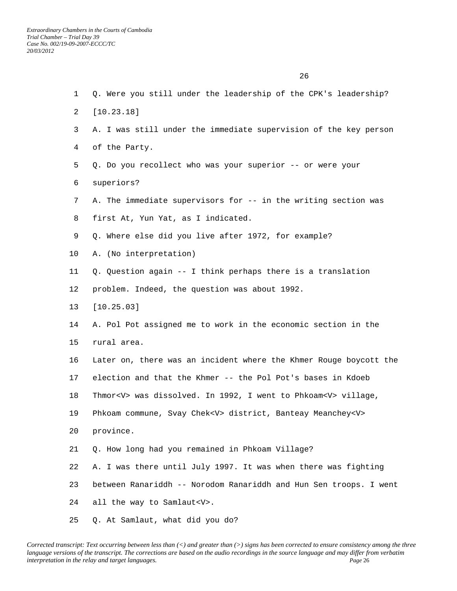1 Q. Were you still under the leadership of the CPK's leadership? 2 [10.23.18] 3 A. I was still under the immediate supervision of the key person 4 of the Party. 5 Q. Do you recollect who was your superior -- or were your 6 superiors? 7 A. The immediate supervisors for -- in the writing section was 8 first At, Yun Yat, as I indicated. 9 Q. Where else did you live after 1972, for example? 10 A. (No interpretation) 11 Q. Question again -- I think perhaps there is a translation 12 problem. Indeed, the question was about 1992. 13 [10.25.03] 14 A. Pol Pot assigned me to work in the economic section in the 15 rural area. 16 Later on, there was an incident where the Khmer Rouge boycott the 17 election and that the Khmer -- the Pol Pot's bases in Kdoeb 18 Thmor<V> was dissolved. In 1992, I went to Phkoam<V> village, 19 Phkoam commune, Svay Chek<V> district, Banteay Meanchey<V> 20 province. 21 Q. How long had you remained in Phkoam Village? 22 A. I was there until July 1997. It was when there was fighting 23 between Ranariddh -- Norodom Ranariddh and Hun Sen troops. I went 24 all the way to Samlaut<V>.

25 Q. At Samlaut, what did you do?

<u>26</u>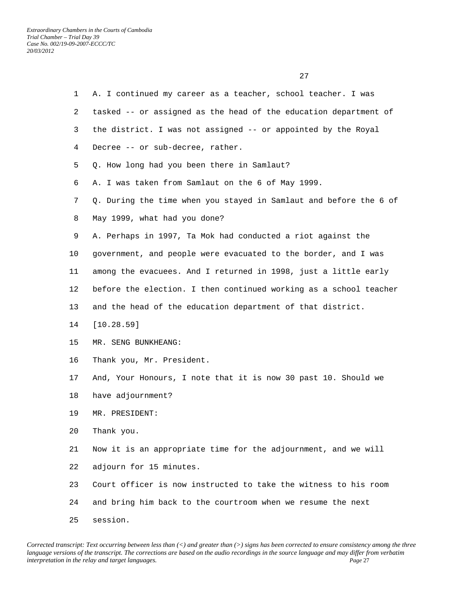1 A. I continued my career as a teacher, school teacher. I was 2 tasked -- or assigned as the head of the education department of 3 the district. I was not assigned -- or appointed by the Royal 4 Decree -- or sub-decree, rather. 5 Q. How long had you been there in Samlaut? 6 A. I was taken from Samlaut on the 6 of May 1999. 7 Q. During the time when you stayed in Samlaut and before the 6 of 8 May 1999, what had you done? 9 A. Perhaps in 1997, Ta Mok had conducted a riot against the 10 government, and people were evacuated to the border, and I was 11 among the evacuees. And I returned in 1998, just a little early 12 before the election. I then continued working as a school teacher 13 and the head of the education department of that district. 14 [10.28.59] 15 MR. SENG BUNKHEANG: 16 Thank you, Mr. President. 17 And, Your Honours, I note that it is now 30 past 10. Should we 18 have adjournment? 19 MR. PRESIDENT: 20 Thank you. 21 Now it is an appropriate time for the adjournment, and we will 22 adjourn for 15 minutes. 23 Court officer is now instructed to take the witness to his room 24 and bring him back to the courtroom when we resume the next

25 session.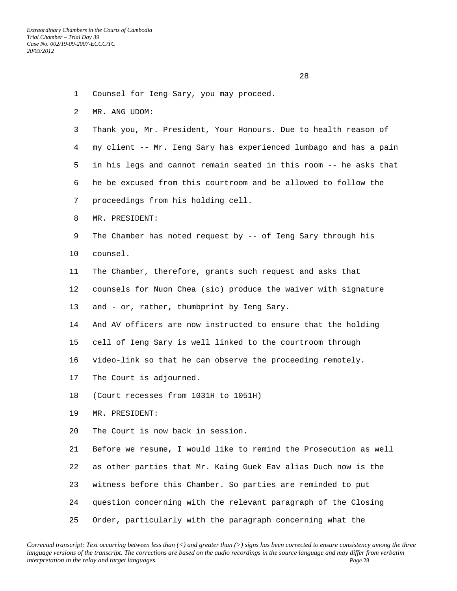1 Counsel for Ieng Sary, you may proceed. 2 MR. ANG UDOM: 3 Thank you, Mr. President, Your Honours. Due to health reason of 4 my client -- Mr. Ieng Sary has experienced lumbago and has a pain 5 in his legs and cannot remain seated in this room -- he asks that 6 he be excused from this courtroom and be allowed to follow the 7 proceedings from his holding cell. 8 MR. PRESIDENT: 9 The Chamber has noted request by -- of Ieng Sary through his 10 counsel. 11 The Chamber, therefore, grants such request and asks that 12 counsels for Nuon Chea (sic) produce the waiver with signature 13 and - or, rather, thumbprint by Ieng Sary. 14 And AV officers are now instructed to ensure that the holding 15 cell of Ieng Sary is well linked to the courtroom through 16 video-link so that he can observe the proceeding remotely. 17 The Court is adjourned. 18 (Court recesses from 1031H to 1051H) 19 MR. PRESIDENT: 20 The Court is now back in session. 21 Before we resume, I would like to remind the Prosecution as well 22 as other parties that Mr. Kaing Guek Eav alias Duch now is the 23 witness before this Chamber. So parties are reminded to put 24 question concerning with the relevant paragraph of the Closing

25 Order, particularly with the paragraph concerning what the

28 and 28 and 28 and 28 and 28 and 28 and 28 and 28 and 28 and 28 and 28 and 28 and 28 and 28 and 28 and 28 an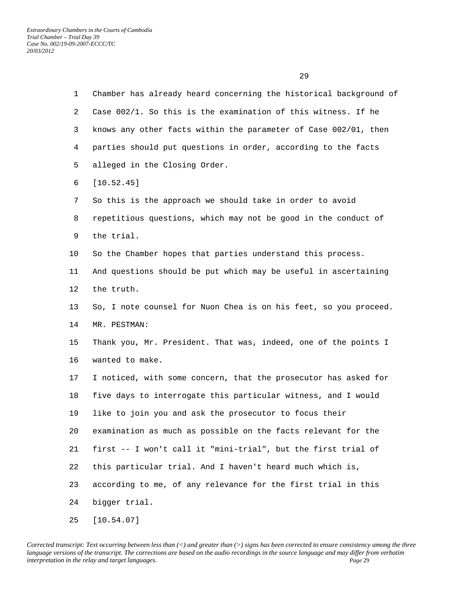1 Chamber has already heard concerning the historical background of 2 Case 002/1. So this is the examination of this witness. If he 3 knows any other facts within the parameter of Case 002/01, then 4 parties should put questions in order, according to the facts 5 alleged in the Closing Order. 6 [10.52.45] 7 So this is the approach we should take in order to avoid 8 repetitious questions, which may not be good in the conduct of 9 the trial. 10 So the Chamber hopes that parties understand this process. 11 And questions should be put which may be useful in ascertaining 12 the truth. 13 So, I note counsel for Nuon Chea is on his feet, so you proceed. 14 MR. PESTMAN: 15 Thank you, Mr. President. That was, indeed, one of the points I 16 wanted to make. 17 I noticed, with some concern, that the prosecutor has asked for 18 five days to interrogate this particular witness, and I would 19 like to join you and ask the prosecutor to focus their 20 examination as much as possible on the facts relevant for the 21 first -- I won't call it "mini-trial", but the first trial of 22 this particular trial. And I haven't heard much which is, 23 according to me, of any relevance for the first trial in this 24 bigger trial. 25 [10.54.07]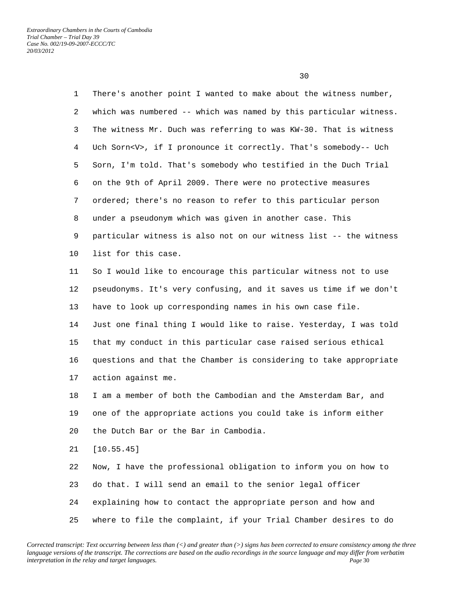<u>30</u>

| $\mathbf{1}$ | There's another point I wanted to make about the witness number,     |
|--------------|----------------------------------------------------------------------|
| 2            | which was numbered -- which was named by this particular witness.    |
| 3            | The witness Mr. Duch was referring to was KW-30. That is witness     |
| 4            | Uch Sorn <v>, if I pronounce it correctly. That's somebody-- Uch</v> |
| 5            | Sorn, I'm told. That's somebody who testified in the Duch Trial      |
| 6            | on the 9th of April 2009. There were no protective measures          |
| 7            | ordered; there's no reason to refer to this particular person        |
| 8            | under a pseudonym which was given in another case. This              |
| 9            | particular witness is also not on our witness list -- the witness    |
| 10           | list for this case.                                                  |
| 11           | So I would like to encourage this particular witness not to use      |
| 12           | pseudonyms. It's very confusing, and it saves us time if we don't    |
| 13           | have to look up corresponding names in his own case file.            |
| 14           | Just one final thing I would like to raise. Yesterday, I was told    |
| 15           | that my conduct in this particular case raised serious ethical       |
| 16           | questions and that the Chamber is considering to take appropriate    |
| 17           | action against me.                                                   |
| 18           | I am a member of both the Cambodian and the Amsterdam Bar, and       |
| 19           | one of the appropriate actions you could take is inform either       |
| 20           | the Dutch Bar or the Bar in Cambodia.                                |
| 21           | [10.55.45]                                                           |
| 22           | Now, I have the professional obligation to inform you on how to      |
| 23           | do that. I will send an email to the senior legal officer            |
| 24           | explaining how to contact the appropriate person and how and         |
| 25           | where to file the complaint, if your Trial Chamber desires to do     |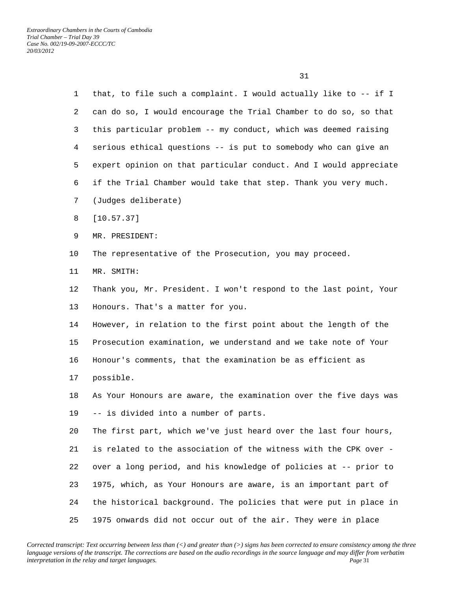| 1       | that, to file such a complaint. I would actually like to -- if I  |
|---------|-------------------------------------------------------------------|
| 2       | can do so, I would encourage the Trial Chamber to do so, so that  |
| 3       | this particular problem -- my conduct, which was deemed raising   |
| 4       | serious ethical questions -- is put to somebody who can give an   |
| 5       | expert opinion on that particular conduct. And I would appreciate |
| 6       | if the Trial Chamber would take that step. Thank you very much.   |
| 7       | (Judges deliberate)                                               |
| 8       | [10.57.37]                                                        |
| 9       | MR. PRESIDENT:                                                    |
| $10 \,$ | The representative of the Prosecution, you may proceed.           |
| 11      | MR. SMITH:                                                        |
| 12      | Thank you, Mr. President. I won't respond to the last point, Your |
| 13      | Honours. That's a matter for you.                                 |
| 14      | However, in relation to the first point about the length of the   |
| 15      | Prosecution examination, we understand and we take note of Your   |
| 16      | Honour's comments, that the examination be as efficient as        |
| 17      | possible.                                                         |
| 18      | As Your Honours are aware, the examination over the five days was |
| 19      | -- is divided into a number of parts.                             |
| 20      | The first part, which we've just heard over the last four hours,  |
| 21      | is related to the association of the witness with the CPK over -  |
| 22      | over a long period, and his knowledge of policies at -- prior to  |
| 23      | 1975, which, as Your Honours are aware, is an important part of   |
| 24      | the historical background. The policies that were put in place in |
| 25      | 1975 onwards did not occur out of the air. They were in place     |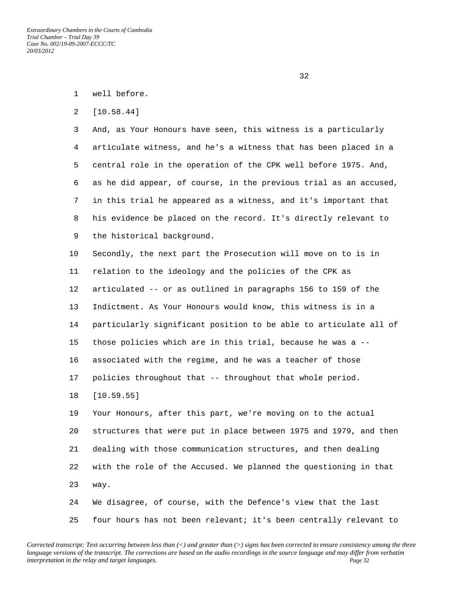2 [10.58.44]

 3 And, as Your Honours have seen, this witness is a particularly 4 articulate witness, and he's a witness that has been placed in a 5 central role in the operation of the CPK well before 1975. And, 6 as he did appear, of course, in the previous trial as an accused, 7 in this trial he appeared as a witness, and it's important that 8 his evidence be placed on the record. It's directly relevant to 9 the historical background.

 10 Secondly, the next part the Prosecution will move on to is in 11 relation to the ideology and the policies of the CPK as 12 articulated -- or as outlined in paragraphs 156 to 159 of the 13 Indictment. As Your Honours would know, this witness is in a 14 particularly significant position to be able to articulate all of 15 those policies which are in this trial, because he was a -- 16 associated with the regime, and he was a teacher of those 17 policies throughout that -- throughout that whole period. 18 [10.59.55]

 19 Your Honours, after this part, we're moving on to the actual 20 structures that were put in place between 1975 and 1979, and then 21 dealing with those communication structures, and then dealing 22 with the role of the Accused. We planned the questioning in that 23 way. 24 We disagree, of course, with the Defence's view that the last

25 four hours has not been relevant; it's been centrally relevant to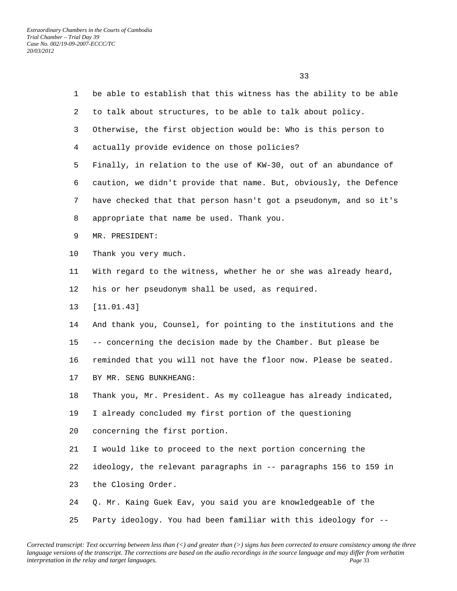| $\mathbf{1}$   | be able to establish that this witness has the ability to be able |
|----------------|-------------------------------------------------------------------|
| $\overline{a}$ | to talk about structures, to be able to talk about policy.        |
| 3              | Otherwise, the first objection would be: Who is this person to    |
| $\overline{4}$ | actually provide evidence on those policies?                      |
| 5              | Finally, in relation to the use of KW-30, out of an abundance of  |
| 6              | caution, we didn't provide that name. But, obviously, the Defence |
| 7              | have checked that that person hasn't got a pseudonym, and so it's |
| 8              | appropriate that name be used. Thank you.                         |
| 9              | MR. PRESIDENT:                                                    |
| 10             | Thank you very much.                                              |
| 11             | With regard to the witness, whether he or she was already heard,  |
| 12             | his or her pseudonym shall be used, as required.                  |
| 13             | [11.01.43]                                                        |
| 14             | And thank you, Counsel, for pointing to the institutions and the  |
| 15             | -- concerning the decision made by the Chamber. But please be     |
| 16             | reminded that you will not have the floor now. Please be seated.  |
| 17             | BY MR. SENG BUNKHEANG:                                            |
| 18             | Thank you, Mr. President. As my colleague has already indicated,  |
| 19             | I already concluded my first portion of the questioning           |
| 20             | concerning the first portion.                                     |
| 21             | I would like to proceed to the next portion concerning the        |
| 22             | ideology, the relevant paragraphs in -- paragraphs 156 to 159 in  |
| 23             | the Closing Order.                                                |
| 24             | Q. Mr. Kaing Guek Eav, you said you are knowledgeable of the      |
| 25             | Party ideology. You had been familiar with this ideology for --   |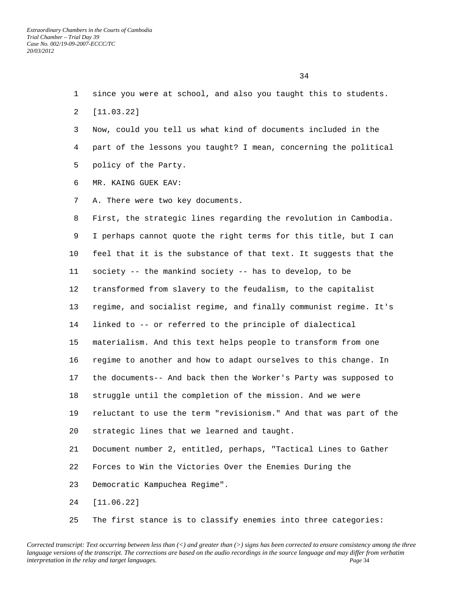- 1 since you were at school, and also you taught this to students.
- 2 [11.03.22]
- 3 Now, could you tell us what kind of documents included in the 4 part of the lessons you taught? I mean, concerning the political 5 policy of the Party.
- 6 MR. KAING GUEK EAV:
- 7 A. There were two key documents.

 8 First, the strategic lines regarding the revolution in Cambodia. 9 I perhaps cannot quote the right terms for this title, but I can 10 feel that it is the substance of that text. It suggests that the 11 society -- the mankind society -- has to develop, to be 12 transformed from slavery to the feudalism, to the capitalist 13 regime, and socialist regime, and finally communist regime. It's 14 linked to -- or referred to the principle of dialectical 15 materialism. And this text helps people to transform from one 16 regime to another and how to adapt ourselves to this change. In 17 the documents-- And back then the Worker's Party was supposed to 18 struggle until the completion of the mission. And we were 19 reluctant to use the term "revisionism." And that was part of the 20 strategic lines that we learned and taught. 21 Document number 2, entitled, perhaps, "Tactical Lines to Gather 22 Forces to Win the Victories Over the Enemies During the 23 Democratic Kampuchea Regime". 24 [11.06.22]

25 The first stance is to classify enemies into three categories: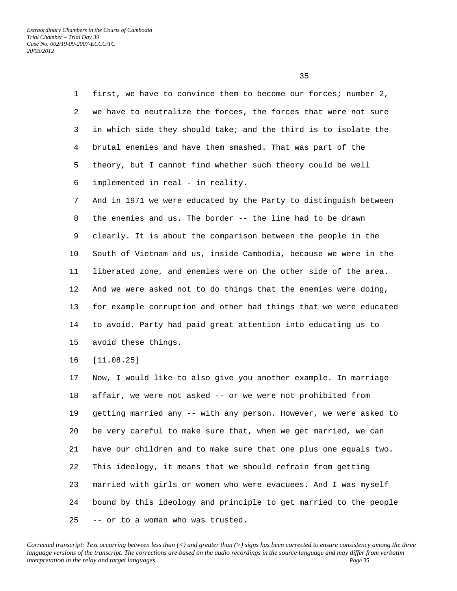1 first, we have to convince them to become our forces; number 2, 2 we have to neutralize the forces, the forces that were not sure 3 in which side they should take; and the third is to isolate the 4 brutal enemies and have them smashed. That was part of the 5 theory, but I cannot find whether such theory could be well 6 implemented in real - in reality. 7 And in 1971 we were educated by the Party to distinguish between 8 the enemies and us. The border -- the line had to be drawn 9 clearly. It is about the comparison between the people in the 10 South of Vietnam and us, inside Cambodia, because we were in the 11 liberated zone, and enemies were on the other side of the area. 12 And we were asked not to do things that the enemies were doing, 13 for example corruption and other bad things that we were educated

 14 to avoid. Party had paid great attention into educating us to 15 avoid these things.

16 [11.08.25]

 17 Now, I would like to also give you another example. In marriage 18 affair, we were not asked -- or we were not prohibited from 19 getting married any -- with any person. However, we were asked to 20 be very careful to make sure that, when we get married, we can 21 have our children and to make sure that one plus one equals two. 22 This ideology, it means that we should refrain from getting 23 married with girls or women who were evacuees. And I was myself 24 bound by this ideology and principle to get married to the people 25 -- or to a woman who was trusted.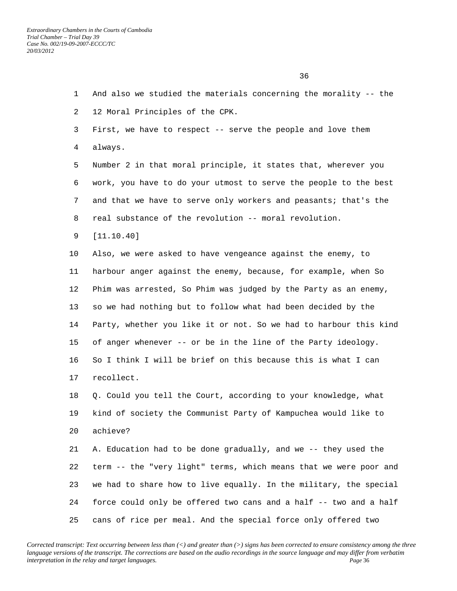1 And also we studied the materials concerning the morality -- the 2 12 Moral Principles of the CPK. 3 First, we have to respect -- serve the people and love them 4 always. 5 Number 2 in that moral principle, it states that, wherever you 6 work, you have to do your utmost to serve the people to the best 7 and that we have to serve only workers and peasants; that's the 8 real substance of the revolution -- moral revolution. 9 [11.10.40] 10 Also, we were asked to have vengeance against the enemy, to 11 harbour anger against the enemy, because, for example, when So 12 Phim was arrested, So Phim was judged by the Party as an enemy, 13 so we had nothing but to follow what had been decided by the 14 Party, whether you like it or not. So we had to harbour this kind 15 of anger whenever -- or be in the line of the Party ideology. 16 So I think I will be brief on this because this is what I can 17 recollect. 18 Q. Could you tell the Court, according to your knowledge, what 19 kind of society the Communist Party of Kampuchea would like to 20 achieve? 21 A. Education had to be done gradually, and we -- they used the 22 term -- the "very light" terms, which means that we were poor and 23 we had to share how to live equally. In the military, the special 24 force could only be offered two cans and a half -- two and a half

*Corrected transcript: Text occurring between less than (<) and greater than (>) signs has been corrected to ensure consistency among the three language versions of the transcript. The corrections are based on the audio recordings in the source language and may differ from verbatim interpretation in the relay and target languages. Page* 36

25 cans of rice per meal. And the special force only offered two

 $36<sup>2</sup>$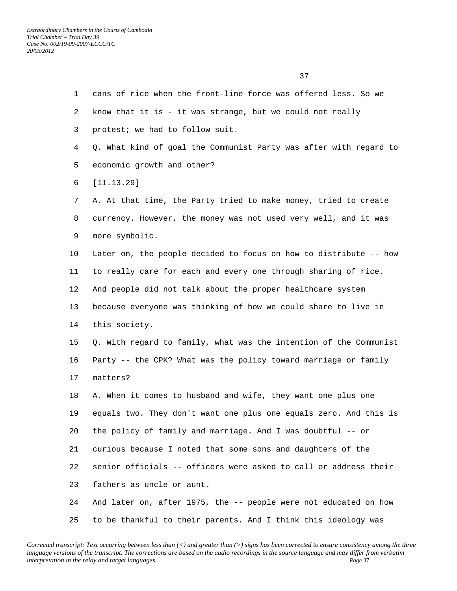1 cans of rice when the front-line force was offered less. So we 2 know that it is - it was strange, but we could not really 3 protest; we had to follow suit. 4 Q. What kind of goal the Communist Party was after with regard to 5 economic growth and other? 6 [11.13.29] 7 A. At that time, the Party tried to make money, tried to create 8 currency. However, the money was not used very well, and it was 9 more symbolic. 10 Later on, the people decided to focus on how to distribute -- how 11 to really care for each and every one through sharing of rice. 12 And people did not talk about the proper healthcare system 13 because everyone was thinking of how we could share to live in 14 this society. 15 Q. With regard to family, what was the intention of the Communist 16 Party -- the CPK? What was the policy toward marriage or family 17 matters? 18 A. When it comes to husband and wife, they want one plus one 19 equals two. They don't want one plus one equals zero. And this is 20 the policy of family and marriage. And I was doubtful -- or 21 curious because I noted that some sons and daughters of the 22 senior officials -- officers were asked to call or address their 23 fathers as uncle or aunt. 24 And later on, after 1975, the -- people were not educated on how 25 to be thankful to their parents. And I think this ideology was

*Corrected transcript: Text occurring between less than (<) and greater than (>) signs has been corrected to ensure consistency among the three language versions of the transcript. The corrections are based on the audio recordings in the source language and may differ from verbatim interpretation in the relay and target languages. Page* 37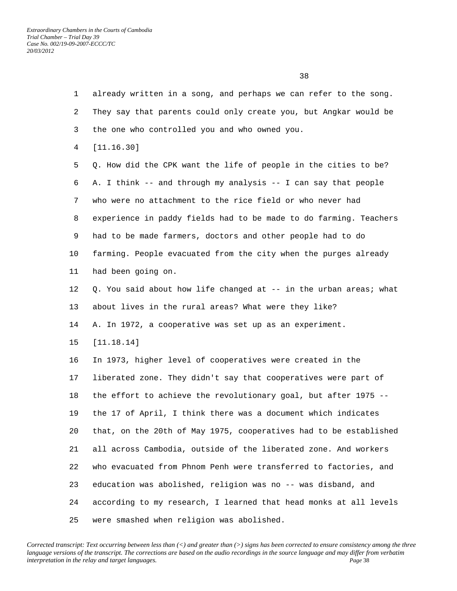2 They say that parents could only create you, but Angkar would be 3 the one who controlled you and who owned you. 4 [11.16.30] 5 Q. How did the CPK want the life of people in the cities to be? 6 A. I think -- and through my analysis -- I can say that people 7 who were no attachment to the rice field or who never had 8 experience in paddy fields had to be made to do farming. Teachers 9 had to be made farmers, doctors and other people had to do 10 farming. People evacuated from the city when the purges already 11 had been going on. 12 Q. You said about how life changed at -- in the urban areas; what 13 about lives in the rural areas? What were they like? 14 A. In 1972, a cooperative was set up as an experiment. 15 [11.18.14] 16 In 1973, higher level of cooperatives were created in the 17 liberated zone. They didn't say that cooperatives were part of 18 the effort to achieve the revolutionary goal, but after 1975 -- 19 the 17 of April, I think there was a document which indicates 20 that, on the 20th of May 1975, cooperatives had to be established 21 all across Cambodia, outside of the liberated zone. And workers 22 who evacuated from Phnom Penh were transferred to factories, and 23 education was abolished, religion was no -- was disband, and 24 according to my research, I learned that head monks at all levels 25 were smashed when religion was abolished.

1 already written in a song, and perhaps we can refer to the song.

*Corrected transcript: Text occurring between less than (<) and greater than (>) signs has been corrected to ensure consistency among the three language versions of the transcript. The corrections are based on the audio recordings in the source language and may differ from verbatim interpretation in the relay and target languages. Page* 38

 $\sim$  38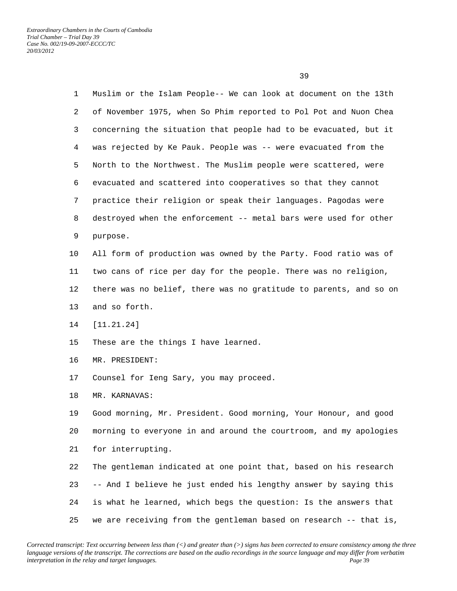1 Muslim or the Islam People-- We can look at document on the 13th 2 of November 1975, when So Phim reported to Pol Pot and Nuon Chea 3 concerning the situation that people had to be evacuated, but it 4 was rejected by Ke Pauk. People was -- were evacuated from the 5 North to the Northwest. The Muslim people were scattered, were 6 evacuated and scattered into cooperatives so that they cannot 7 practice their religion or speak their languages. Pagodas were 8 destroyed when the enforcement -- metal bars were used for other 9 purpose. 10 All form of production was owned by the Party. Food ratio was of 11 two cans of rice per day for the people. There was no religion, 12 there was no belief, there was no gratitude to parents, and so on 13 and so forth. 14 [11.21.24] 15 These are the things I have learned. 16 MR. PRESIDENT: 17 Counsel for Ieng Sary, you may proceed. 18 MR. KARNAVAS: 19 Good morning, Mr. President. Good morning, Your Honour, and good 20 morning to everyone in and around the courtroom, and my apologies 21 for interrupting. 22 The gentleman indicated at one point that, based on his research

 23 -- And I believe he just ended his lengthy answer by saying this 24 is what he learned, which begs the question: Is the answers that 25 we are receiving from the gentleman based on research -- that is,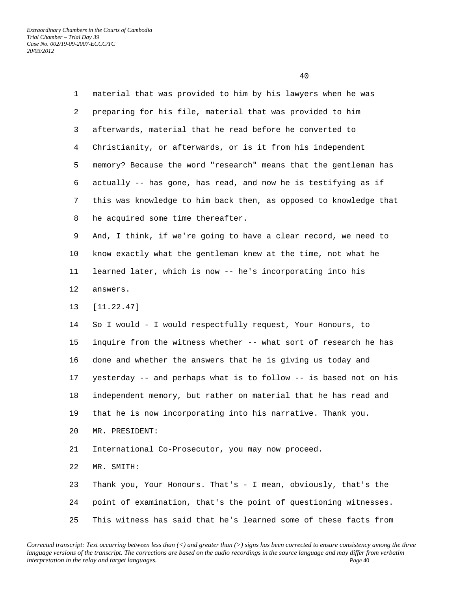1 material that was provided to him by his lawyers when he was 2 preparing for his file, material that was provided to him 3 afterwards, material that he read before he converted to 4 Christianity, or afterwards, or is it from his independent 5 memory? Because the word "research" means that the gentleman has 6 actually -- has gone, has read, and now he is testifying as if 7 this was knowledge to him back then, as opposed to knowledge that 8 he acquired some time thereafter. 9 And, I think, if we're going to have a clear record, we need to 10 know exactly what the gentleman knew at the time, not what he 11 learned later, which is now -- he's incorporating into his 12 answers. 13 [11.22.47] 14 So I would - I would respectfully request, Your Honours, to 15 inquire from the witness whether -- what sort of research he has 16 done and whether the answers that he is giving us today and 17 yesterday -- and perhaps what is to follow -- is based not on his 18 independent memory, but rather on material that he has read and 19 that he is now incorporating into his narrative. Thank you. 20 MR. PRESIDENT: 21 International Co-Prosecutor, you may now proceed. 22 MR. SMITH: 23 Thank you, Your Honours. That's - I mean, obviously, that's the 24 point of examination, that's the point of questioning witnesses.

25 This witness has said that he's learned some of these facts from

*Corrected transcript: Text occurring between less than (<) and greater than (>) signs has been corrected to ensure consistency among the three language versions of the transcript. The corrections are based on the audio recordings in the source language and may differ from verbatim interpretation in the relay and target languages.* Page 40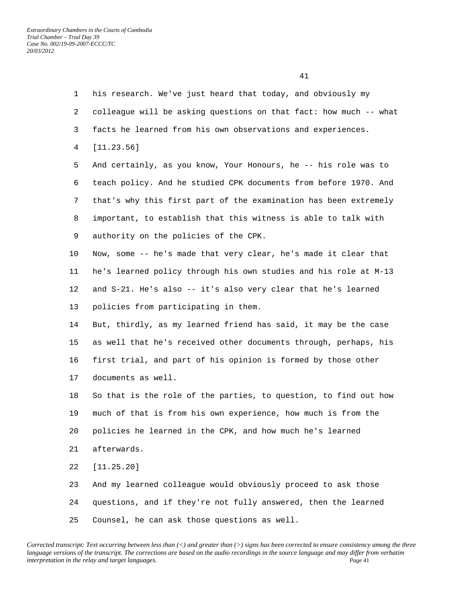1 his research. We've just heard that today, and obviously my 2 colleague will be asking questions on that fact: how much -- what 3 facts he learned from his own observations and experiences. 4 [11.23.56] 5 And certainly, as you know, Your Honours, he -- his role was to 6 teach policy. And he studied CPK documents from before 1970. And 7 that's why this first part of the examination has been extremely 8 important, to establish that this witness is able to talk with 9 authority on the policies of the CPK. 10 Now, some -- he's made that very clear, he's made it clear that 11 he's learned policy through his own studies and his role at M-13 12 and S-21. He's also -- it's also very clear that he's learned 13 policies from participating in them. 14 But, thirdly, as my learned friend has said, it may be the case 15 as well that he's received other documents through, perhaps, his 16 first trial, and part of his opinion is formed by those other 17 documents as well. 18 So that is the role of the parties, to question, to find out how 19 much of that is from his own experience, how much is from the 20 policies he learned in the CPK, and how much he's learned 21 afterwards. 22 [11.25.20] 23 And my learned colleague would obviously proceed to ask those 24 questions, and if they're not fully answered, then the learned 25 Counsel, he can ask those questions as well.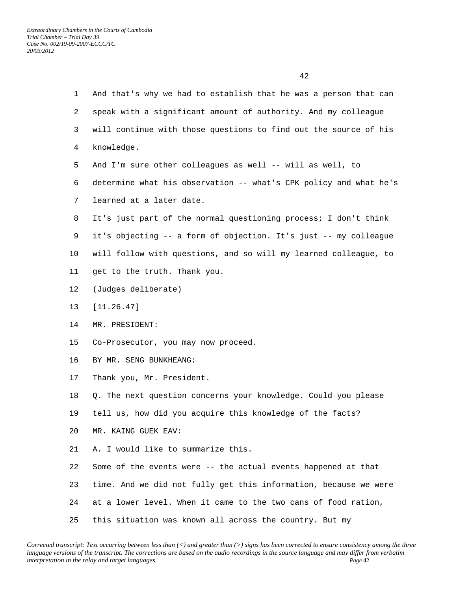| $\mathbf 1$ | And that's why we had to establish that he was a person that can  |
|-------------|-------------------------------------------------------------------|
| 2           | speak with a significant amount of authority. And my colleague    |
| 3           | will continue with those questions to find out the source of his  |
| 4           | knowledge.                                                        |
| 5           | And I'm sure other colleagues as well -- will as well, to         |
| 6           | determine what his observation -- what's CPK policy and what he's |
| 7           | learned at a later date.                                          |
| 8           | It's just part of the normal questioning process; I don't think   |
| 9           | it's objecting -- a form of objection. It's just -- my colleague  |
| $10 \,$     | will follow with questions, and so will my learned colleague, to  |
| 11          | get to the truth. Thank you.                                      |
| 12          | (Judges deliberate)                                               |
| 13          | [11.26.47]                                                        |
| 14          | MR. PRESIDENT:                                                    |
| 15          | Co-Prosecutor, you may now proceed.                               |
| 16          | BY MR. SENG BUNKHEANG:                                            |
| 17          | Thank you, Mr. President.                                         |
| 18          | Q. The next question concerns your knowledge. Could you please    |
| 19          | tell us, how did you acquire this knowledge of the facts?         |
| 20          | MR. KAING GUEK EAV:                                               |
| 21          | A. I would like to summarize this.                                |
| 22          | Some of the events were -- the actual events happened at that     |
| 23          | time. And we did not fully get this information, because we were  |
| 24          | at a lower level. When it came to the two cans of food ration,    |
| 25          | this situation was known all across the country. But my           |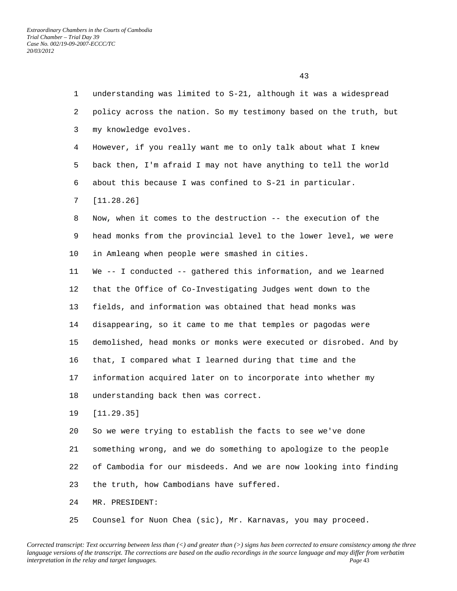| $\mathbf{1}$   | understanding was limited to S-21, although it was a widespread   |
|----------------|-------------------------------------------------------------------|
| $\overline{a}$ | policy across the nation. So my testimony based on the truth, but |
| 3              | my knowledge evolves.                                             |
| 4              | However, if you really want me to only talk about what I knew     |
| 5              | back then, I'm afraid I may not have anything to tell the world   |
| 6              | about this because I was confined to S-21 in particular.          |
| 7              | [11.28.26]                                                        |
| 8              | Now, when it comes to the destruction -- the execution of the     |
| 9              | head monks from the provincial level to the lower level, we were  |
| 10             | in Amleang when people were smashed in cities.                    |
| 11             | We -- I conducted -- gathered this information, and we learned    |
| 12             | that the Office of Co-Investigating Judges went down to the       |
| 13             | fields, and information was obtained that head monks was          |
| 14             | disappearing, so it came to me that temples or pagodas were       |
| 15             | demolished, head monks or monks were executed or disrobed. And by |
| 16             | that, I compared what I learned during that time and the          |
| 17             | information acquired later on to incorporate into whether my      |
| 18             | understanding back then was correct.                              |
| 19             | [11.29.35]                                                        |
| 20             | So we were trying to establish the facts to see we've done        |
| 21             | something wrong, and we do something to apologize to the people   |
| 22             | of Cambodia for our misdeeds. And we are now looking into finding |
| 23             | the truth, how Cambodians have suffered.                          |
| 24             | MR. PRESIDENT:                                                    |
| 25             | Counsel for Nuon Chea (sic), Mr. Karnavas, you may proceed.       |

*Corrected transcript: Text occurring between less than (<) and greater than (>) signs has been corrected to ensure consistency among the three language versions of the transcript. The corrections are based on the audio recordings in the source language and may differ from verbatim interpretation in the relay and target languages.* Page 43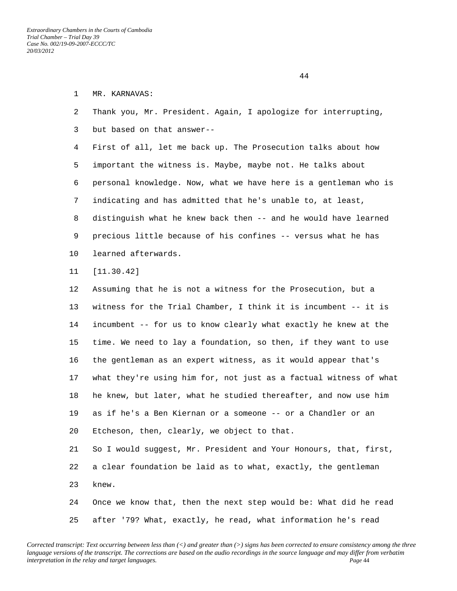## 1 MR. KARNAVAS:

 2 Thank you, Mr. President. Again, I apologize for interrupting, 3 but based on that answer-- 4 First of all, let me back up. The Prosecution talks about how

 5 important the witness is. Maybe, maybe not. He talks about 6 personal knowledge. Now, what we have here is a gentleman who is 7 indicating and has admitted that he's unable to, at least, 8 distinguish what he knew back then -- and he would have learned 9 precious little because of his confines -- versus what he has

- 10 learned afterwards.
- 11 [11.30.42]

 12 Assuming that he is not a witness for the Prosecution, but a 13 witness for the Trial Chamber, I think it is incumbent -- it is 14 incumbent -- for us to know clearly what exactly he knew at the 15 time. We need to lay a foundation, so then, if they want to use 16 the gentleman as an expert witness, as it would appear that's 17 what they're using him for, not just as a factual witness of what 18 he knew, but later, what he studied thereafter, and now use him 19 as if he's a Ben Kiernan or a someone -- or a Chandler or an 20 Etcheson, then, clearly, we object to that. 21 So I would suggest, Mr. President and Your Honours, that, first, 22 a clear foundation be laid as to what, exactly, the gentleman 23 knew.

 24 Once we know that, then the next step would be: What did he read 25 after '79? What, exactly, he read, what information he's read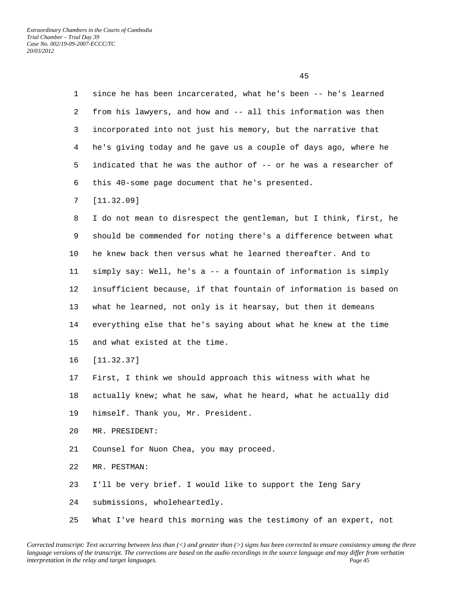| $\mathbf{1}$ | since he has been incarcerated, what he's been -- he's learned    |
|--------------|-------------------------------------------------------------------|
| 2            | from his lawyers, and how and -- all this information was then    |
| 3            | incorporated into not just his memory, but the narrative that     |
| 4            | he's giving today and he gave us a couple of days ago, where he   |
| 5            | indicated that he was the author of -- or he was a researcher of  |
| 6            | this 40-some page document that he's presented.                   |
| 7            | [11.32.09]                                                        |
| 8            | I do not mean to disrespect the gentleman, but I think, first, he |
| 9            | should be commended for noting there's a difference between what  |
| 10           | he knew back then versus what he learned thereafter. And to       |
| 11           | simply say: Well, he's a -- a fountain of information is simply   |
| 12           | insufficient because, if that fountain of information is based on |
| 13           | what he learned, not only is it hearsay, but then it demeans      |
| 14           | everything else that he's saying about what he knew at the time   |
| 15           | and what existed at the time.                                     |
| 16           | [11.32.37]                                                        |
| 17           | First, I think we should approach this witness with what he       |
| 18           | actually knew; what he saw, what he heard, what he actually did   |
| 19           | himself. Thank you, Mr. President.                                |
| 20           | MR. PRESIDENT:                                                    |
| 21           | Counsel for Nuon Chea, you may proceed.                           |
| 22           | MR. PESTMAN:                                                      |
| 23           | I'll be very brief. I would like to support the Ieng Sary         |
| 24           | submissions, wholeheartedly.                                      |
|              |                                                                   |

*Corrected transcript: Text occurring between less than (<) and greater than (>) signs has been corrected to ensure consistency among the three language versions of the transcript. The corrections are based on the audio recordings in the source language and may differ from verbatim interpretation in the relay and target languages. Page* 45

25 What I've heard this morning was the testimony of an expert, not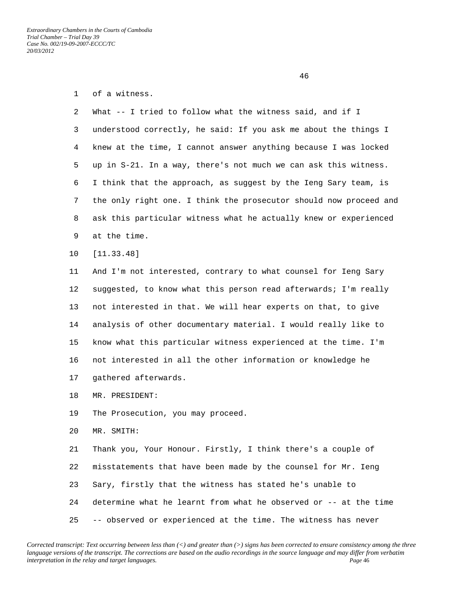2 What -- I tried to follow what the witness said, and if I 3 understood correctly, he said: If you ask me about the things I 4 knew at the time, I cannot answer anything because I was locked 5 up in S-21. In a way, there's not much we can ask this witness. 6 I think that the approach, as suggest by the Ieng Sary team, is 7 the only right one. I think the prosecutor should now proceed and 8 ask this particular witness what he actually knew or experienced 9 at the time.

10 [11.33.48]

 11 And I'm not interested, contrary to what counsel for Ieng Sary 12 suggested, to know what this person read afterwards; I'm really 13 not interested in that. We will hear experts on that, to give 14 analysis of other documentary material. I would really like to 15 know what this particular witness experienced at the time. I'm 16 not interested in all the other information or knowledge he 17 gathered afterwards.

- 18 MR. PRESIDENT:
- 19 The Prosecution, you may proceed.
- 20 MR. SMITH:

 21 Thank you, Your Honour. Firstly, I think there's a couple of 22 misstatements that have been made by the counsel for Mr. Ieng 23 Sary, firstly that the witness has stated he's unable to 24 determine what he learnt from what he observed or -- at the time 25 -- observed or experienced at the time. The witness has never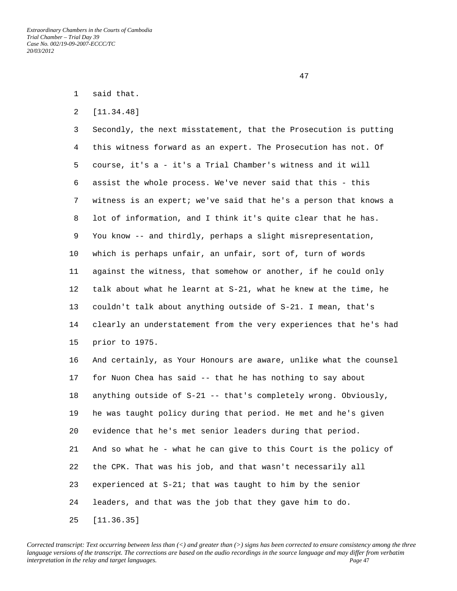1 said that.

2 [11.34.48]

 3 Secondly, the next misstatement, that the Prosecution is putting 4 this witness forward as an expert. The Prosecution has not. Of 5 course, it's a - it's a Trial Chamber's witness and it will 6 assist the whole process. We've never said that this - this 7 witness is an expert; we've said that he's a person that knows a 8 lot of information, and I think it's quite clear that he has. 9 You know -- and thirdly, perhaps a slight misrepresentation, 10 which is perhaps unfair, an unfair, sort of, turn of words 11 against the witness, that somehow or another, if he could only 12 talk about what he learnt at S-21, what he knew at the time, he 13 couldn't talk about anything outside of S-21. I mean, that's 14 clearly an understatement from the very experiences that he's had 15 prior to 1975.

 16 And certainly, as Your Honours are aware, unlike what the counsel 17 for Nuon Chea has said -- that he has nothing to say about 18 anything outside of S-21 -- that's completely wrong. Obviously, 19 he was taught policy during that period. He met and he's given 20 evidence that he's met senior leaders during that period. 21 And so what he - what he can give to this Court is the policy of 22 the CPK. That was his job, and that wasn't necessarily all 23 experienced at S-21; that was taught to him by the senior 24 leaders, and that was the job that they gave him to do. 25 [11.36.35]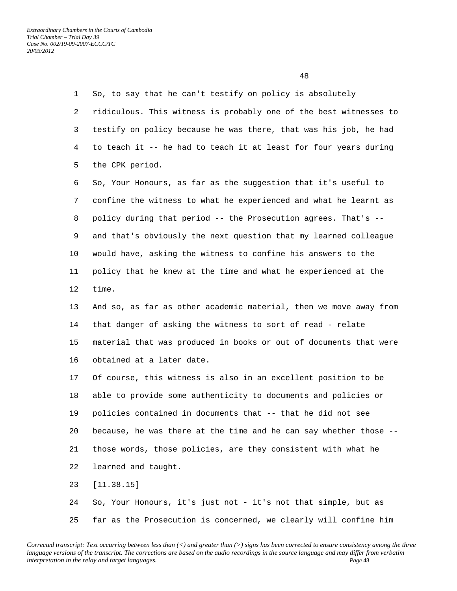1 So, to say that he can't testify on policy is absolutely 2 ridiculous. This witness is probably one of the best witnesses to 3 testify on policy because he was there, that was his job, he had 4 to teach it -- he had to teach it at least for four years during 5 the CPK period. 6 So, Your Honours, as far as the suggestion that it's useful to 7 confine the witness to what he experienced and what he learnt as 8 policy during that period -- the Prosecution agrees. That's -- 9 and that's obviously the next question that my learned colleague 10 would have, asking the witness to confine his answers to the 11 policy that he knew at the time and what he experienced at the 12 time. 13 And so, as far as other academic material, then we move away from 14 that danger of asking the witness to sort of read - relate 15 material that was produced in books or out of documents that were 16 obtained at a later date. 17 Of course, this witness is also in an excellent position to be 18 able to provide some authenticity to documents and policies or 19 policies contained in documents that -- that he did not see 20 because, he was there at the time and he can say whether those -- 21 those words, those policies, are they consistent with what he 22 learned and taught. 23 [11.38.15] 24 So, Your Honours, it's just not - it's not that simple, but as 25 far as the Prosecution is concerned, we clearly will confine him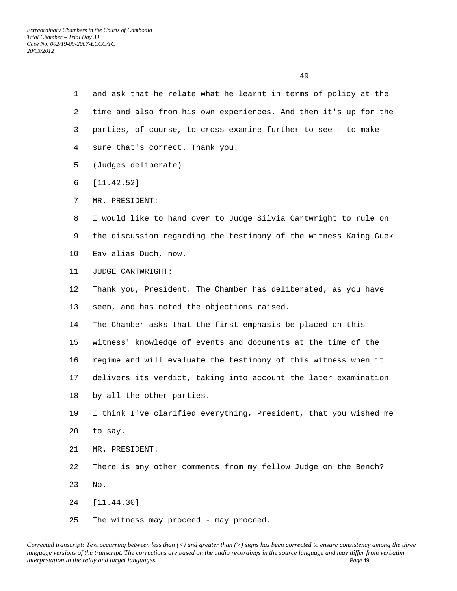- 1 and ask that he relate what he learnt in terms of policy at the 2 time and also from his own experiences. And then it's up for the 3 parties, of course, to cross-examine further to see - to make 4 sure that's correct. Thank you.
- 5 (Judges deliberate)
- 6 [11.42.52]
- 7 MR. PRESIDENT:
- 8 I would like to hand over to Judge Silvia Cartwright to rule on 9 the discussion regarding the testimony of the witness Kaing Guek
- 10 Eav alias Duch, now.
- 11 JUDGE CARTWRIGHT:
- 12 Thank you, President. The Chamber has deliberated, as you have 13 seen, and has noted the objections raised.
- 14 The Chamber asks that the first emphasis be placed on this 15 witness' knowledge of events and documents at the time of the 16 regime and will evaluate the testimony of this witness when it
- 17 delivers its verdict, taking into account the later examination
- 18 by all the other parties.

 19 I think I've clarified everything, President, that you wished me 20 to say.

- 21 MR. PRESIDENT:
- 22 There is any other comments from my fellow Judge on the Bench?
- 23 No.
- 24 [11.44.30]
- 25 The witness may proceed may proceed.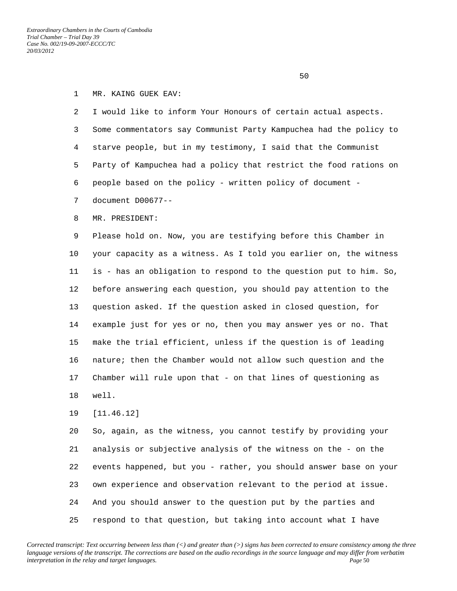$50<sub>2</sub>$ 

## 1 MR. KAING GUEK EAV:

 2 I would like to inform Your Honours of certain actual aspects. 3 Some commentators say Communist Party Kampuchea had the policy to 4 starve people, but in my testimony, I said that the Communist 5 Party of Kampuchea had a policy that restrict the food rations on 6 people based on the policy - written policy of document -

- 7 document D00677--
- 8 MR. PRESIDENT:

 9 Please hold on. Now, you are testifying before this Chamber in 10 your capacity as a witness. As I told you earlier on, the witness 11 is - has an obligation to respond to the question put to him. So, 12 before answering each question, you should pay attention to the 13 question asked. If the question asked in closed question, for 14 example just for yes or no, then you may answer yes or no. That 15 make the trial efficient, unless if the question is of leading 16 nature; then the Chamber would not allow such question and the 17 Chamber will rule upon that - on that lines of questioning as 18 well.

19 [11.46.12]

 20 So, again, as the witness, you cannot testify by providing your 21 analysis or subjective analysis of the witness on the - on the 22 events happened, but you - rather, you should answer base on your 23 own experience and observation relevant to the period at issue. 24 And you should answer to the question put by the parties and 25 respond to that question, but taking into account what I have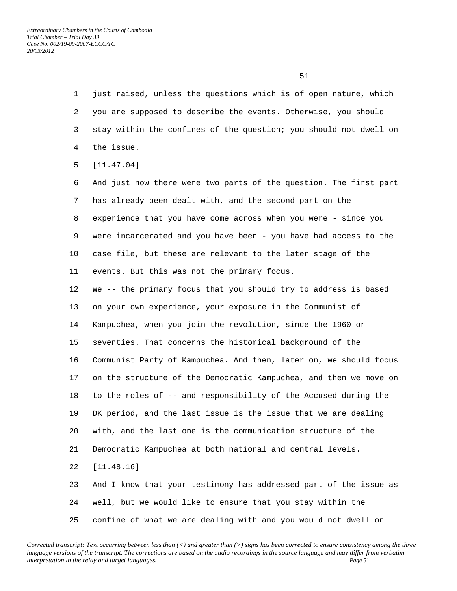1 just raised, unless the questions which is of open nature, which 2 you are supposed to describe the events. Otherwise, you should 3 stay within the confines of the question; you should not dwell on 4 the issue.

5 [11.47.04]

 6 And just now there were two parts of the question. The first part 7 has already been dealt with, and the second part on the 8 experience that you have come across when you were - since you 9 were incarcerated and you have been - you have had access to the 10 case file, but these are relevant to the later stage of the 11 events. But this was not the primary focus.

 12 We -- the primary focus that you should try to address is based 13 on your own experience, your exposure in the Communist of 14 Kampuchea, when you join the revolution, since the 1960 or 15 seventies. That concerns the historical background of the 16 Communist Party of Kampuchea. And then, later on, we should focus 17 on the structure of the Democratic Kampuchea, and then we move on 18 to the roles of -- and responsibility of the Accused during the 19 DK period, and the last issue is the issue that we are dealing 20 with, and the last one is the communication structure of the 21 Democratic Kampuchea at both national and central levels. 22 [11.48.16] 23 And I know that your testimony has addressed part of the issue as

24 well, but we would like to ensure that you stay within the

25 confine of what we are dealing with and you would not dwell on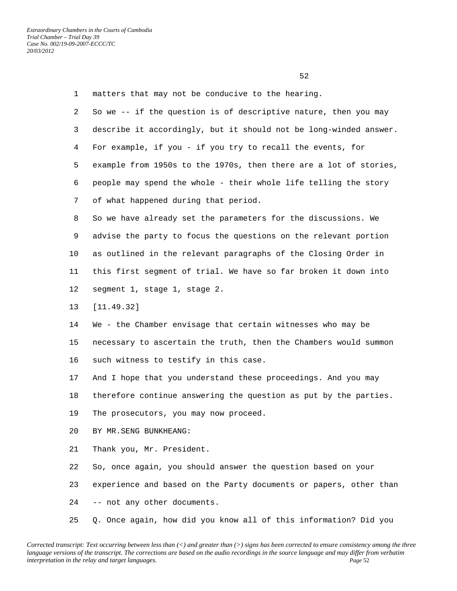1 matters that may not be conducive to the hearing. 2 So we -- if the question is of descriptive nature, then you may 3 describe it accordingly, but it should not be long-winded answer. 4 For example, if you - if you try to recall the events, for 5 example from 1950s to the 1970s, then there are a lot of stories, 6 people may spend the whole - their whole life telling the story 7 of what happened during that period. 8 So we have already set the parameters for the discussions. We 9 advise the party to focus the questions on the relevant portion 10 as outlined in the relevant paragraphs of the Closing Order in 11 this first segment of trial. We have so far broken it down into 12 segment 1, stage 1, stage 2. 13 [11.49.32] 14 We - the Chamber envisage that certain witnesses who may be 15 necessary to ascertain the truth, then the Chambers would summon 16 such witness to testify in this case. 17 And I hope that you understand these proceedings. And you may 18 therefore continue answering the question as put by the parties. 19 The prosecutors, you may now proceed. 20 BY MR.SENG BUNKHEANG: 21 Thank you, Mr. President. 22 So, once again, you should answer the question based on your 23 experience and based on the Party documents or papers, other than 24 -- not any other documents.

25 Q. Once again, how did you know all of this information? Did you

*Corrected transcript: Text occurring between less than (<) and greater than (>) signs has been corrected to ensure consistency among the three language versions of the transcript. The corrections are based on the audio recordings in the source language and may differ from verbatim interpretation in the relay and target languages.* Page 52

 $\sim$  52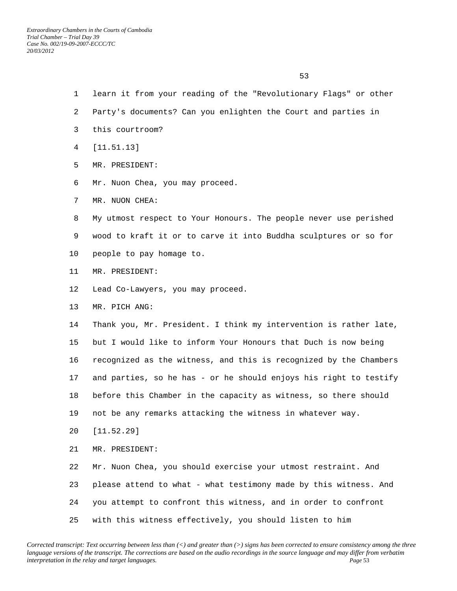- 1 learn it from your reading of the "Revolutionary Flags" or other
- 2 Party's documents? Can you enlighten the Court and parties in
- 3 this courtroom?
- 4 [11.51.13]
- 5 MR. PRESIDENT:
- 6 Mr. Nuon Chea, you may proceed.
- 7 MR. NUON CHEA:
- 8 My utmost respect to Your Honours. The people never use perished 9 wood to kraft it or to carve it into Buddha sculptures or so for
- 10 people to pay homage to.
- 11 MR. PRESIDENT:
- 12 Lead Co-Lawyers, you may proceed.
- 13 MR. PICH ANG:

 14 Thank you, Mr. President. I think my intervention is rather late, 15 but I would like to inform Your Honours that Duch is now being 16 recognized as the witness, and this is recognized by the Chambers 17 and parties, so he has - or he should enjoys his right to testify 18 before this Chamber in the capacity as witness, so there should 19 not be any remarks attacking the witness in whatever way. 20 [11.52.29]

- 21 MR. PRESIDENT:
- 22 Mr. Nuon Chea, you should exercise your utmost restraint. And 23 please attend to what - what testimony made by this witness. And 24 you attempt to confront this witness, and in order to confront 25 with this witness effectively, you should listen to him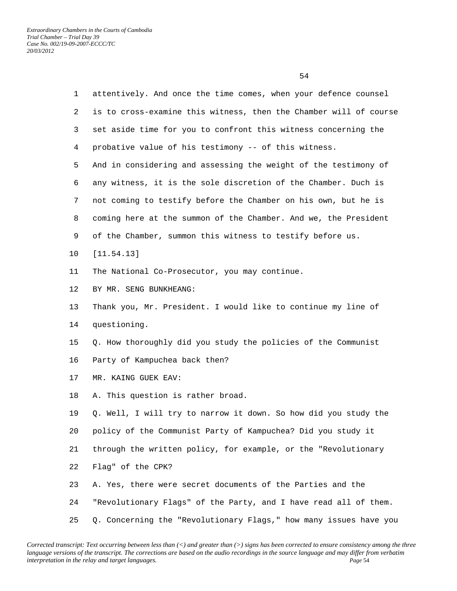1 attentively. And once the time comes, when your defence counsel 2 is to cross-examine this witness, then the Chamber will of course 3 set aside time for you to confront this witness concerning the 4 probative value of his testimony -- of this witness. 5 And in considering and assessing the weight of the testimony of 6 any witness, it is the sole discretion of the Chamber. Duch is 7 not coming to testify before the Chamber on his own, but he is 8 coming here at the summon of the Chamber. And we, the President 9 of the Chamber, summon this witness to testify before us. 10 [11.54.13] 11 The National Co-Prosecutor, you may continue. 12 BY MR. SENG BUNKHEANG: 13 Thank you, Mr. President. I would like to continue my line of 14 questioning. 15 Q. How thoroughly did you study the policies of the Communist 16 Party of Kampuchea back then? 17 MR. KAING GUEK EAV: 18 A. This question is rather broad. 19 Q. Well, I will try to narrow it down. So how did you study the 20 policy of the Communist Party of Kampuchea? Did you study it 21 through the written policy, for example, or the "Revolutionary 22 Flag" of the CPK? 23 A. Yes, there were secret documents of the Parties and the 24 "Revolutionary Flags" of the Party, and I have read all of them.

## 25 Q. Concerning the "Revolutionary Flags," how many issues have you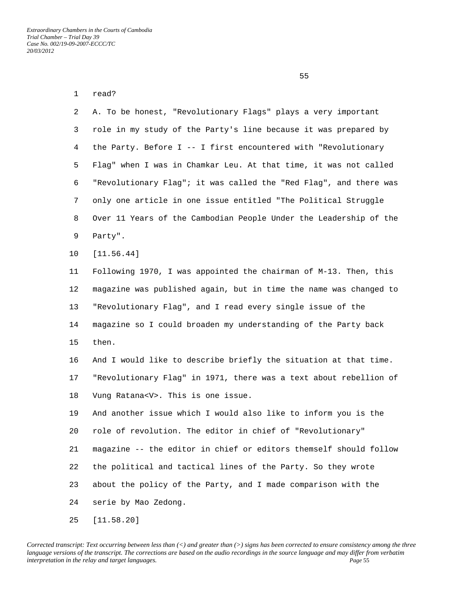| $\mathbf 1$ | read?                                                             |
|-------------|-------------------------------------------------------------------|
| 2           | A. To be honest, "Revolutionary Flags" plays a very important     |
| 3           | role in my study of the Party's line because it was prepared by   |
| 4           | the Party. Before I -- I first encountered with "Revolutionary    |
| 5           | Flag" when I was in Chamkar Leu. At that time, it was not called  |
| 6           | "Revolutionary Flag"; it was called the "Red Flag", and there was |
| 7           | only one article in one issue entitled "The Political Struggle    |
| 8           | Over 11 Years of the Cambodian People Under the Leadership of the |
| 9           | Party".                                                           |
| 10          | [11.56.44]                                                        |
| 11          | Following 1970, I was appointed the chairman of M-13. Then, this  |
| 12          | magazine was published again, but in time the name was changed to |
| 13          | "Revolutionary Flag", and I read every single issue of the        |
| 14          | magazine so I could broaden my understanding of the Party back    |
| 15          | then.                                                             |
| 16          | And I would like to describe briefly the situation at that time.  |
| 17          | "Revolutionary Flag" in 1971, there was a text about rebellion of |
| 18          | Vung Ratana <v>. This is one issue.</v>                           |
| 19          | And another issue which I would also like to inform you is the    |
| 20          | role of revolution. The editor in chief of "Revolutionary"        |
| 21          | magazine -- the editor in chief or editors themself should follow |
| 22          | the political and tactical lines of the Party. So they wrote      |
| 23          | about the policy of the Party, and I made comparison with the     |
| 24          | serie by Mao Zedong.                                              |
| 25          | [11.58.20]                                                        |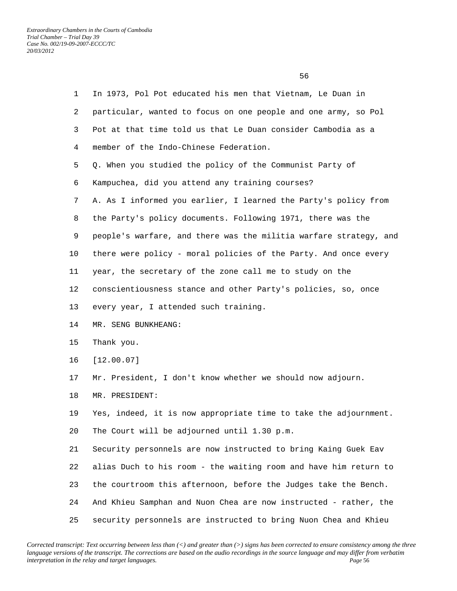$\sim$  56

| $\mathbf{1}$ | In 1973, Pol Pot educated his men that Vietnam, Le Duan in        |
|--------------|-------------------------------------------------------------------|
| 2            | particular, wanted to focus on one people and one army, so Pol    |
| 3            | Pot at that time told us that Le Duan consider Cambodia as a      |
| 4            | member of the Indo-Chinese Federation.                            |
| 5            | Q. When you studied the policy of the Communist Party of          |
| 6            | Kampuchea, did you attend any training courses?                   |
| 7            | A. As I informed you earlier, I learned the Party's policy from   |
| 8            | the Party's policy documents. Following 1971, there was the       |
| 9            | people's warfare, and there was the militia warfare strategy, and |
| 10           | there were policy - moral policies of the Party. And once every   |
| 11           | year, the secretary of the zone call me to study on the           |
| 12           | conscientiousness stance and other Party's policies, so, once     |
| 13           | every year, I attended such training.                             |
| 14           | MR. SENG BUNKHEANG:                                               |
| 15           | Thank you.                                                        |
| 16           | [12.00.07]                                                        |
| 17           | Mr. President, I don't know whether we should now adjourn.        |
| 18           | MR. PRESIDENT:                                                    |
| 19           | Yes, indeed, it is now appropriate time to take the adjournment.  |
| 20           | The Court will be adjourned until 1.30 p.m.                       |
| 21           | Security personnels are now instructed to bring Kaing Guek Eav    |
| 22           | alias Duch to his room - the waiting room and have him return to  |
| 23           | the courtroom this afternoon, before the Judges take the Bench.   |
| 24           | And Khieu Samphan and Nuon Chea are now instructed - rather, the  |
| 25           | security personnels are instructed to bring Nuon Chea and Khieu   |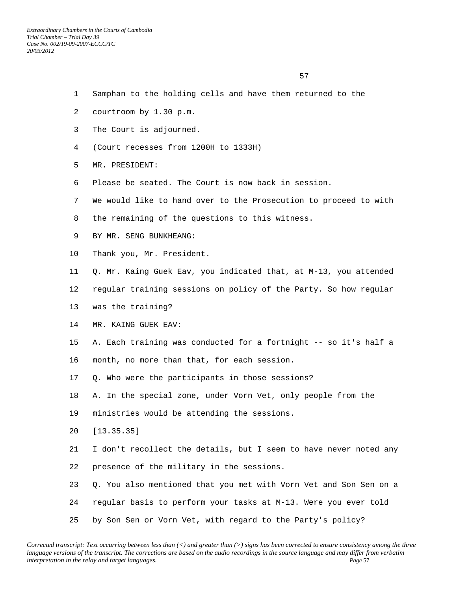- 1 Samphan to the holding cells and have them returned to the
- 2 courtroom by 1.30 p.m.
- 3 The Court is adjourned.
- 4 (Court recesses from 1200H to 1333H)
- 5 MR. PRESIDENT:
- 6 Please be seated. The Court is now back in session.
- 7 We would like to hand over to the Prosecution to proceed to with
- 8 the remaining of the questions to this witness.
- 9 BY MR. SENG BUNKHEANG:
- 10 Thank you, Mr. President.
- 11 Q. Mr. Kaing Guek Eav, you indicated that, at M-13, you attended
- 12 regular training sessions on policy of the Party. So how regular
- 13 was the training?
- 14 MR. KAING GUEK EAV:
- 15 A. Each training was conducted for a fortnight -- so it's half a
- 16 month, no more than that, for each session.
- 17 Q. Who were the participants in those sessions?
- 18 A. In the special zone, under Vorn Vet, only people from the
- 19 ministries would be attending the sessions.
- 20 [13.35.35]
- 21 I don't recollect the details, but I seem to have never noted any 22 presence of the military in the sessions.
- 23 Q. You also mentioned that you met with Vorn Vet and Son Sen on a
- 24 regular basis to perform your tasks at M-13. Were you ever told
- 25 by Son Sen or Vorn Vet, with regard to the Party's policy?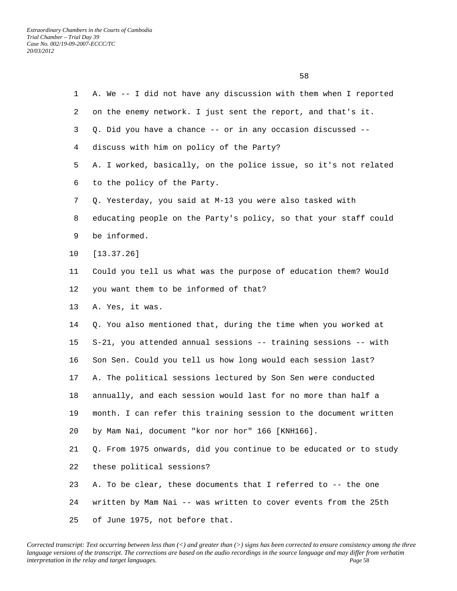| 1  | A. We -- I did not have any discussion with them when I reported  |
|----|-------------------------------------------------------------------|
| 2  | on the enemy network. I just sent the report, and that's it.      |
| 3  | Q. Did you have a chance -- or in any occasion discussed --       |
| 4  | discuss with him on policy of the Party?                          |
| 5  | A. I worked, basically, on the police issue, so it's not related  |
| 6  | to the policy of the Party.                                       |
| 7  | Q. Yesterday, you said at M-13 you were also tasked with          |
| 8  | educating people on the Party's policy, so that your staff could  |
| 9  | be informed.                                                      |
| 10 | [13.37.26]                                                        |
| 11 | Could you tell us what was the purpose of education them? Would   |
| 12 | you want them to be informed of that?                             |
| 13 | A. Yes, it was.                                                   |
| 14 | Q. You also mentioned that, during the time when you worked at    |
| 15 | S-21, you attended annual sessions -- training sessions -- with   |
| 16 | Son Sen. Could you tell us how long would each session last?      |
| 17 | A. The political sessions lectured by Son Sen were conducted      |
| 18 | annually, and each session would last for no more than half a     |
| 19 | month. I can refer this training session to the document written  |
| 20 | by Mam Nai, document "kor nor hor" 166 [KNH166].                  |
| 21 | Q. From 1975 onwards, did you continue to be educated or to study |
| 22 | these political sessions?                                         |
| 23 | A. To be clear, these documents that I referred to -- the one     |
| 24 | written by Mam Nai -- was written to cover events from the 25th   |
| 25 | of June 1975, not before that.                                    |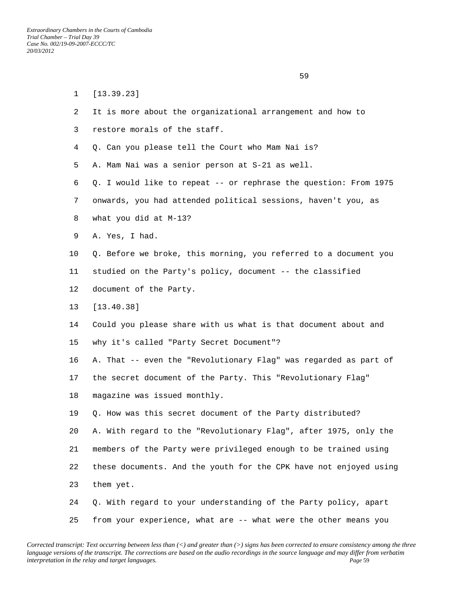$\sim$  59

 1 [13.39.23] 2 It is more about the organizational arrangement and how to 3 restore morals of the staff. 4 Q. Can you please tell the Court who Mam Nai is? 5 A. Mam Nai was a senior person at S-21 as well. 6 Q. I would like to repeat -- or rephrase the question: From 1975 7 onwards, you had attended political sessions, haven't you, as 8 what you did at M-13? 9 A. Yes, I had. 10 Q. Before we broke, this morning, you referred to a document you 11 studied on the Party's policy, document -- the classified 12 document of the Party. 13 [13.40.38] 14 Could you please share with us what is that document about and 15 why it's called "Party Secret Document"? 16 A. That -- even the "Revolutionary Flag" was regarded as part of 17 the secret document of the Party. This "Revolutionary Flag" 18 magazine was issued monthly. 19 Q. How was this secret document of the Party distributed? 20 A. With regard to the "Revolutionary Flag", after 1975, only the 21 members of the Party were privileged enough to be trained using 22 these documents. And the youth for the CPK have not enjoyed using 23 them yet. 24 Q. With regard to your understanding of the Party policy, apart 25 from your experience, what are -- what were the other means you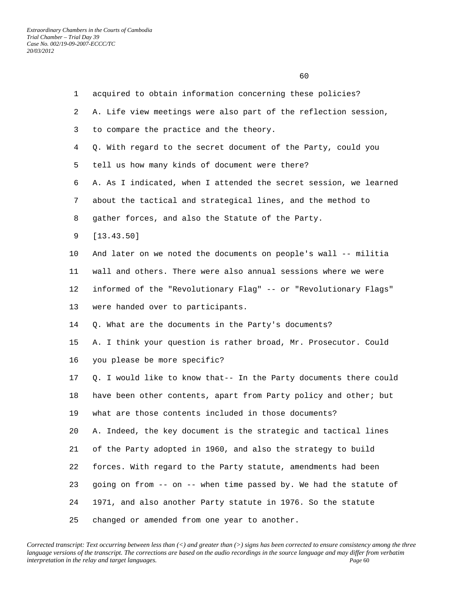| $\mathbf{1}$ | acquired to obtain information concerning these policies?         |
|--------------|-------------------------------------------------------------------|
| 2            | A. Life view meetings were also part of the reflection session,   |
| 3            | to compare the practice and the theory.                           |
| 4            | Q. With regard to the secret document of the Party, could you     |
| 5            | tell us how many kinds of document were there?                    |
| 6            | A. As I indicated, when I attended the secret session, we learned |
| 7            | about the tactical and strategical lines, and the method to       |
| 8            | gather forces, and also the Statute of the Party.                 |
| 9            | [13.43.50]                                                        |
| 10           | And later on we noted the documents on people's wall -- militia   |
| 11           | wall and others. There were also annual sessions where we were    |
| 12           | informed of the "Revolutionary Flag" -- or "Revolutionary Flags"  |
| 13           | were handed over to participants.                                 |
| 14           | Q. What are the documents in the Party's documents?               |
| 15           | A. I think your question is rather broad, Mr. Prosecutor. Could   |
| 16           | you please be more specific?                                      |
| 17           | Q. I would like to know that-- In the Party documents there could |
| 18           | have been other contents, apart from Party policy and other; but  |
| 19           | what are those contents included in those documents?              |
| 20           | A. Indeed, the key document is the strategic and tactical lines   |
| 21           | of the Party adopted in 1960, and also the strategy to build      |
| 22           | forces. With regard to the Party statute, amendments had been     |
| 23           | going on from -- on -- when time passed by. We had the statute of |
| 24           | 1971, and also another Party statute in 1976. So the statute      |
| 25           | changed or amended from one year to another.                      |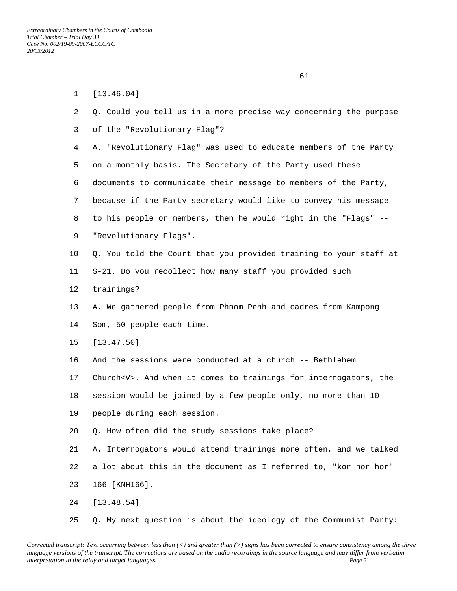| $\mathbf{1}$ | [13.46.04]                                                            |
|--------------|-----------------------------------------------------------------------|
| 2            | Q. Could you tell us in a more precise way concerning the purpose     |
| 3            | of the "Revolutionary Flag"?                                          |
| 4            | A. "Revolutionary Flag" was used to educate members of the Party      |
| 5            | on a monthly basis. The Secretary of the Party used these             |
| 6            | documents to communicate their message to members of the Party,       |
| 7            | because if the Party secretary would like to convey his message       |
| 8            | to his people or members, then he would right in the "Flags" --       |
| 9            | "Revolutionary Flags".                                                |
| 10           | Q. You told the Court that you provided training to your staff at     |
| 11           | S-21. Do you recollect how many staff you provided such               |
| 12           | trainings?                                                            |
| 13           | A. We gathered people from Phnom Penh and cadres from Kampong         |
| 14           | Som, 50 people each time.                                             |
| 15           | [13.47.50]                                                            |
| 16           | And the sessions were conducted at a church -- Bethlehem              |
| 17           | Church <v>. And when it comes to trainings for interrogators, the</v> |
| 18           | session would be joined by a few people only, no more than 10         |
| 19           | people during each session.                                           |
| 20           | Q. How often did the study sessions take place?                       |
| 21           | A. Interrogators would attend trainings more often, and we talked     |
| 22           | a lot about this in the document as I referred to, "kor nor hor"      |
| 23           | 166 [KNH166].                                                         |
| 24           | [13.48.54]                                                            |
|              |                                                                       |

*Corrected transcript: Text occurring between less than (<) and greater than (>) signs has been corrected to ensure consistency among the three language versions of the transcript. The corrections are based on the audio recordings in the source language and may differ from verbatim interpretation in the relay and target languages. Page* 61

25 Q. My next question is about the ideology of the Communist Party: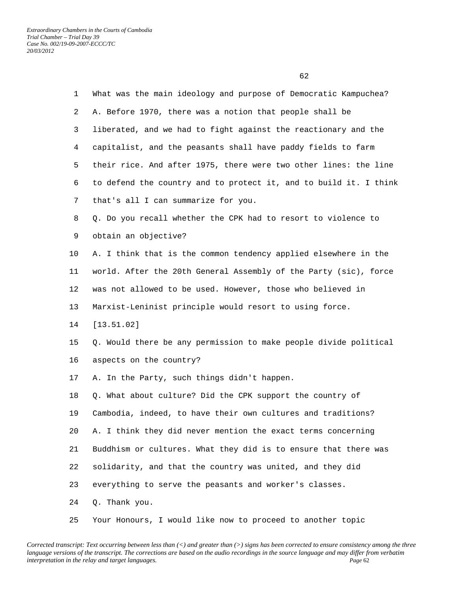1 What was the main ideology and purpose of Democratic Kampuchea? 2 A. Before 1970, there was a notion that people shall be 3 liberated, and we had to fight against the reactionary and the 4 capitalist, and the peasants shall have paddy fields to farm 5 their rice. And after 1975, there were two other lines: the line 6 to defend the country and to protect it, and to build it. I think 7 that's all I can summarize for you. 8 Q. Do you recall whether the CPK had to resort to violence to 9 obtain an objective? 10 A. I think that is the common tendency applied elsewhere in the 11 world. After the 20th General Assembly of the Party (sic), force 12 was not allowed to be used. However, those who believed in 13 Marxist-Leninist principle would resort to using force. 14 [13.51.02] 15 Q. Would there be any permission to make people divide political 16 aspects on the country? 17 A. In the Party, such things didn't happen. 18 Q. What about culture? Did the CPK support the country of 19 Cambodia, indeed, to have their own cultures and traditions? 20 A. I think they did never mention the exact terms concerning 21 Buddhism or cultures. What they did is to ensure that there was 22 solidarity, and that the country was united, and they did 23 everything to serve the peasants and worker's classes. 24 Q. Thank you.

*Corrected transcript: Text occurring between less than (<) and greater than (>) signs has been corrected to ensure consistency among the three language versions of the transcript. The corrections are based on the audio recordings in the source language and may differ from verbatim interpretation in the relay and target languages. Page* 62

25 Your Honours, I would like now to proceed to another topic

 $\sim$  62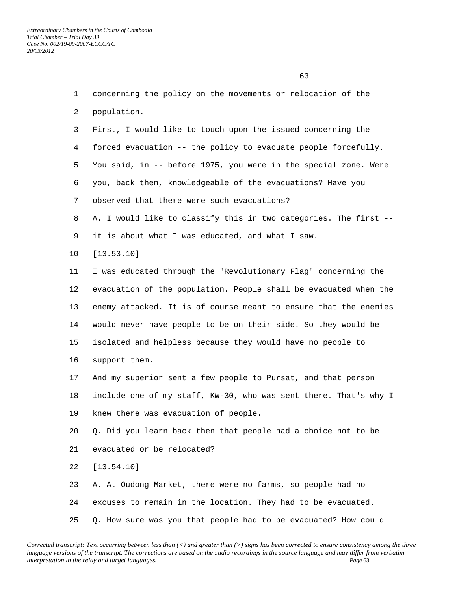$\sim$  63 1 concerning the policy on the movements or relocation of the

2 population.

 3 First, I would like to touch upon the issued concerning the 4 forced evacuation -- the policy to evacuate people forcefully. 5 You said, in -- before 1975, you were in the special zone. Were 6 you, back then, knowledgeable of the evacuations? Have you 7 observed that there were such evacuations? 8 A. I would like to classify this in two categories. The first --

- 9 it is about what I was educated, and what I saw.
- 10 [13.53.10]

 11 I was educated through the "Revolutionary Flag" concerning the 12 evacuation of the population. People shall be evacuated when the 13 enemy attacked. It is of course meant to ensure that the enemies 14 would never have people to be on their side. So they would be 15 isolated and helpless because they would have no people to 16 support them.

 17 And my superior sent a few people to Pursat, and that person 18 include one of my staff, KW-30, who was sent there. That's why I 19 knew there was evacuation of people.

 20 Q. Did you learn back then that people had a choice not to be 21 evacuated or be relocated?

22 [13.54.10]

 23 A. At Oudong Market, there were no farms, so people had no 24 excuses to remain in the location. They had to be evacuated. 25 Q. How sure was you that people had to be evacuated? How could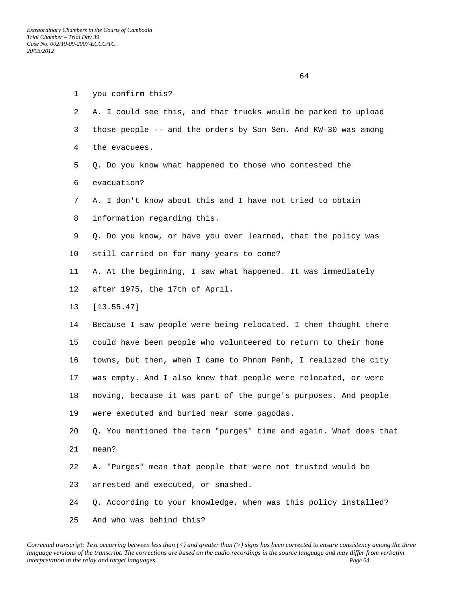|              | 64                                                                |
|--------------|-------------------------------------------------------------------|
| $\mathbf{1}$ | you confirm this?                                                 |
| 2            | A. I could see this, and that trucks would be parked to upload    |
| 3            | those people -- and the orders by Son Sen. And KW-30 was among    |
| 4            | the evacuees.                                                     |
| 5            | Q. Do you know what happened to those who contested the           |
| 6            | evacuation?                                                       |
| 7            | A. I don't know about this and I have not tried to obtain         |
| 8            | information regarding this.                                       |
| 9            | Q. Do you know, or have you ever learned, that the policy was     |
| 10           | still carried on for many years to come?                          |
| 11           | A. At the beginning, I saw what happened. It was immediately      |
| 12           | after 1975, the 17th of April.                                    |
| 13           | [13.55.47]                                                        |
| 14           | Because I saw people were being relocated. I then thought there   |
| 15           | could have been people who volunteered to return to their home    |
| 16           | towns, but then, when I came to Phnom Penh, I realized the city   |
| 17           | was empty. And I also knew that people were relocated, or were    |
| 18           | moving, because it was part of the purge's purposes. And people   |
| 19           | were executed and buried near some pagodas.                       |
| 20           | Q. You mentioned the term "purges" time and again. What does that |
| 21           | mean?                                                             |
| 22           | A. "Purges" mean that people that were not trusted would be       |
| 23           | arrested and executed, or smashed.                                |
| 24           | Q. According to your knowledge, when was this policy installed?   |
| 25           | And who was behind this?                                          |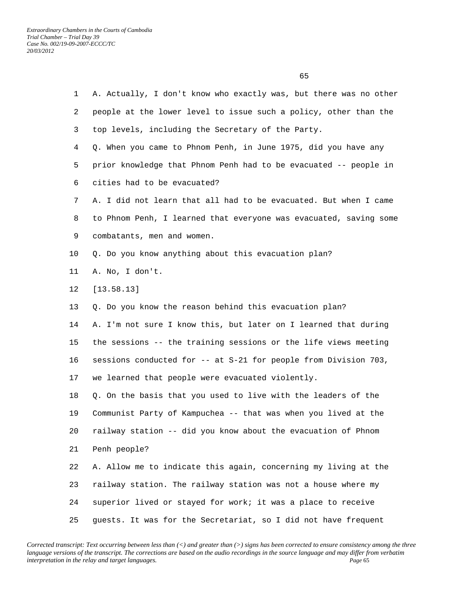1 A. Actually, I don't know who exactly was, but there was no other 2 people at the lower level to issue such a policy, other than the 3 top levels, including the Secretary of the Party. 4 Q. When you came to Phnom Penh, in June 1975, did you have any 5 prior knowledge that Phnom Penh had to be evacuated -- people in 6 cities had to be evacuated? 7 A. I did not learn that all had to be evacuated. But when I came 8 to Phnom Penh, I learned that everyone was evacuated, saving some 9 combatants, men and women. 10 Q. Do you know anything about this evacuation plan? 11 A. No, I don't. 12 [13.58.13] 13 Q. Do you know the reason behind this evacuation plan? 14 A. I'm not sure I know this, but later on I learned that during 15 the sessions -- the training sessions or the life views meeting 16 sessions conducted for -- at S-21 for people from Division 703, 17 we learned that people were evacuated violently. 18 Q. On the basis that you used to live with the leaders of the 19 Communist Party of Kampuchea -- that was when you lived at the 20 railway station -- did you know about the evacuation of Phnom 21 Penh people? 22 A. Allow me to indicate this again, concerning my living at the 23 railway station. The railway station was not a house where my 24 superior lived or stayed for work; it was a place to receive 25 guests. It was for the Secretariat, so I did not have frequent

*Corrected transcript: Text occurring between less than (<) and greater than (>) signs has been corrected to ensure consistency among the three language versions of the transcript. The corrections are based on the audio recordings in the source language and may differ from verbatim interpretation in the relay and target languages. Page* 65

 $\sim$  65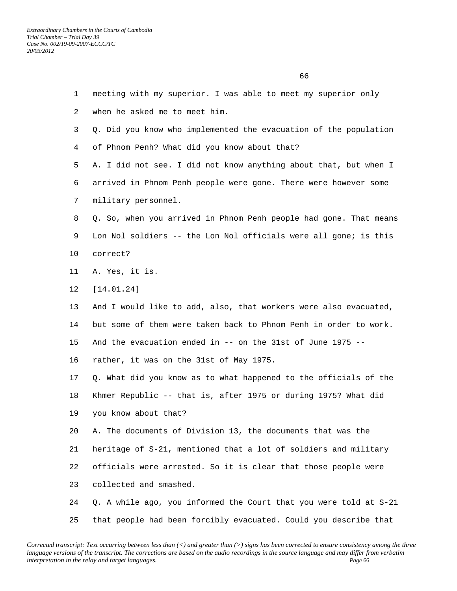1 meeting with my superior. I was able to meet my superior only 2 when he asked me to meet him. 3 Q. Did you know who implemented the evacuation of the population 4 of Phnom Penh? What did you know about that? 5 A. I did not see. I did not know anything about that, but when I 6 arrived in Phnom Penh people were gone. There were however some 7 military personnel. 8 Q. So, when you arrived in Phnom Penh people had gone. That means 9 Lon Nol soldiers -- the Lon Nol officials were all gone; is this 10 correct? 11 A. Yes, it is. 12 [14.01.24] 13 And I would like to add, also, that workers were also evacuated, 14 but some of them were taken back to Phnom Penh in order to work. 15 And the evacuation ended in -- on the 31st of June 1975 -- 16 rather, it was on the 31st of May 1975. 17 Q. What did you know as to what happened to the officials of the 18 Khmer Republic -- that is, after 1975 or during 1975? What did 19 you know about that? 20 A. The documents of Division 13, the documents that was the 21 heritage of S-21, mentioned that a lot of soldiers and military 22 officials were arrested. So it is clear that those people were 23 collected and smashed. 24 Q. A while ago, you informed the Court that you were told at S-21 25 that people had been forcibly evacuated. Could you describe that

 $\sim$  66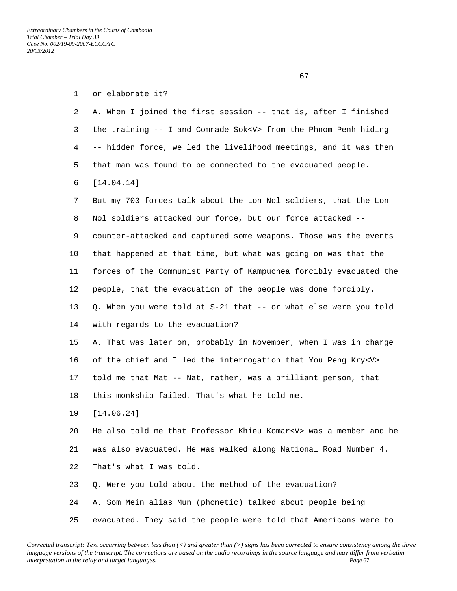| $\mathbf{1}$ | or elaborate it?                                                       |
|--------------|------------------------------------------------------------------------|
| 2            | A. When I joined the first session -- that is, after I finished        |
| 3            | the training -- I and Comrade Sok <v> from the Phnom Penh hiding</v>   |
| 4            | -- hidden force, we led the livelihood meetings, and it was then       |
| 5            | that man was found to be connected to the evacuated people.            |
| 6            | [14.04.14]                                                             |
| 7            | But my 703 forces talk about the Lon Nol soldiers, that the Lon        |
| 8            | Nol soldiers attacked our force, but our force attacked --             |
| 9            | counter-attacked and captured some weapons. Those was the events       |
| 10           | that happened at that time, but what was going on was that the         |
| 11           | forces of the Communist Party of Kampuchea forcibly evacuated the      |
| 12           | people, that the evacuation of the people was done forcibly.           |
| 13           | Q. When you were told at S-21 that -- or what else were you told       |
| 14           | with regards to the evacuation?                                        |
| 15           | A. That was later on, probably in November, when I was in charge       |
| 16           | of the chief and I led the interrogation that You Peng Kry <v></v>     |
| 17           | told me that Mat -- Nat, rather, was a brilliant person, that          |
| 18           | this monkship failed. That's what he told me.                          |
| 19           | [14.06.24]                                                             |
| 20           | He also told me that Professor Khieu Komar <v> was a member and he</v> |
| 21           | was also evacuated. He was walked along National Road Number 4.        |
| 22           | That's what I was told.                                                |
| 23           | Q. Were you told about the method of the evacuation?                   |
| 24           | A. Som Mein alias Mun (phonetic) talked about people being             |
| 25           | evacuated. They said the people were told that Americans were to       |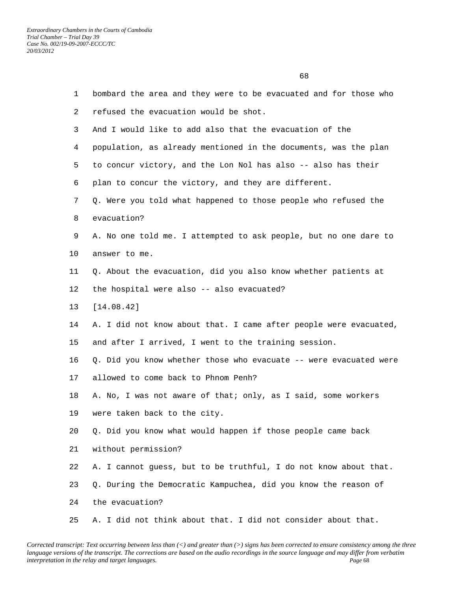$\sim$  68

 1 bombard the area and they were to be evacuated and for those who 2 refused the evacuation would be shot. 3 And I would like to add also that the evacuation of the 4 population, as already mentioned in the documents, was the plan 5 to concur victory, and the Lon Nol has also -- also has their 6 plan to concur the victory, and they are different. 7 Q. Were you told what happened to those people who refused the 8 evacuation? 9 A. No one told me. I attempted to ask people, but no one dare to 10 answer to me. 11 Q. About the evacuation, did you also know whether patients at 12 the hospital were also -- also evacuated? 13 [14.08.42] 14 A. I did not know about that. I came after people were evacuated, 15 and after I arrived, I went to the training session. 16 Q. Did you know whether those who evacuate -- were evacuated were 17 allowed to come back to Phnom Penh? 18 A. No, I was not aware of that; only, as I said, some workers 19 were taken back to the city. 20 Q. Did you know what would happen if those people came back 21 without permission? 22 A. I cannot guess, but to be truthful, I do not know about that. 23 Q. During the Democratic Kampuchea, did you know the reason of 24 the evacuation?

*Corrected transcript: Text occurring between less than (<) and greater than (>) signs has been corrected to ensure consistency among the three language versions of the transcript. The corrections are based on the audio recordings in the source language and may differ from verbatim interpretation in the relay and target languages. Page* 68

25 A. I did not think about that. I did not consider about that.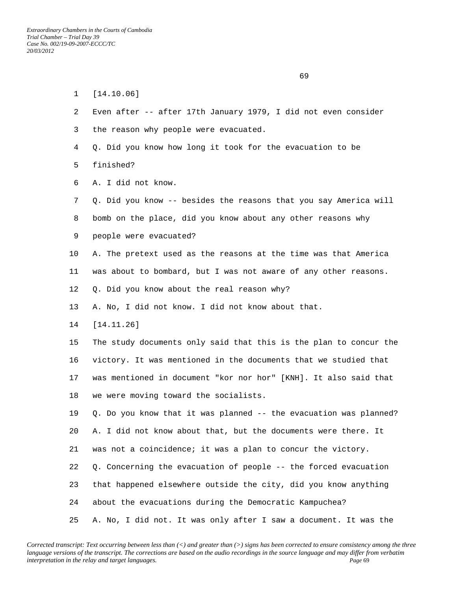1 [14.10.06]

 $\sim$  69

| 3       | the reason why people were evacuated.                             |
|---------|-------------------------------------------------------------------|
| 4       | Q. Did you know how long it took for the evacuation to be         |
| 5       | finished?                                                         |
| 6       | A. I did not know.                                                |
| 7       | Q. Did you know -- besides the reasons that you say America will  |
| 8       | bomb on the place, did you know about any other reasons why       |
| 9       | people were evacuated?                                            |
| 10      | A. The pretext used as the reasons at the time was that America   |
| 11      | was about to bombard, but I was not aware of any other reasons.   |
| 12      | Q. Did you know about the real reason why?                        |
| 13      | A. No, I did not know. I did not know about that.                 |
| 14      | [14.11.26]                                                        |
| 15      | The study documents only said that this is the plan to concur the |
| 16      | victory. It was mentioned in the documents that we studied that   |
| $17 \,$ | was mentioned in document "kor nor hor" [KNH]. It also said that  |
| 18      | we were moving toward the socialists.                             |
| 19      | Q. Do you know that it was planned -- the evacuation was planned? |
| 20      | A. I did not know about that, but the documents were there. It    |
| 21      | was not a coincidence; it was a plan to concur the victory.       |
| 22      | Q. Concerning the evacuation of people -- the forced evacuation   |
| 23      | that happened elsewhere outside the city, did you know anything   |
| 24      | about the evacuations during the Democratic Kampuchea?            |
| 25      | A. No, I did not. It was only after I saw a document. It was the  |

2 Even after -- after 17th January 1979, I did not even consider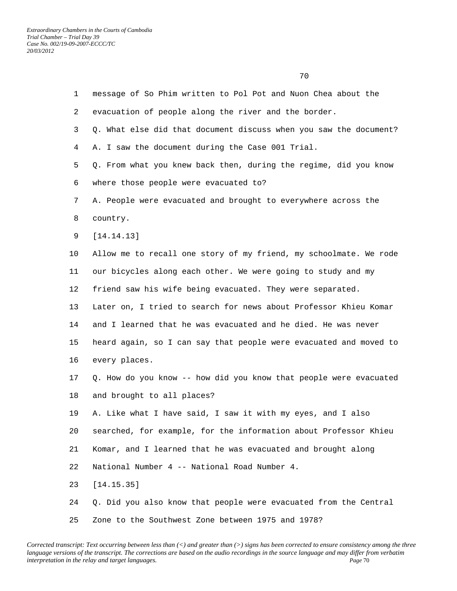| $\mathbf{1}$ | message of So Phim written to Pol Pot and Nuon Chea about the     |
|--------------|-------------------------------------------------------------------|
| 2            | evacuation of people along the river and the border.              |
| 3            | Q. What else did that document discuss when you saw the document? |
| 4            | A. I saw the document during the Case 001 Trial.                  |
| 5            | Q. From what you knew back then, during the regime, did you know  |
| 6            | where those people were evacuated to?                             |
| 7            | A. People were evacuated and brought to everywhere across the     |
| 8            | country.                                                          |
| 9            | [14.14.13]                                                        |
| $10 \,$      | Allow me to recall one story of my friend, my schoolmate. We rode |
| 11           | our bicycles along each other. We were going to study and my      |
| 12           | friend saw his wife being evacuated. They were separated.         |
| 13           | Later on, I tried to search for news about Professor Khieu Komar  |
| 14           | and I learned that he was evacuated and he died. He was never     |
| 15           | heard again, so I can say that people were evacuated and moved to |
| 16           | every places.                                                     |
| 17           | Q. How do you know -- how did you know that people were evacuated |
| 18           | and brought to all places?                                        |
| 19           | A. Like what I have said, I saw it with my eyes, and I also       |
| 20           | searched, for example, for the information about Professor Khieu  |
| 21           | Komar, and I learned that he was evacuated and brought along      |
| 22           | National Number 4 -- National Road Number 4.                      |
| 23           | [14.15.35]                                                        |
| 24           | Q. Did you also know that people were evacuated from the Central  |
| 25           | Zone to the Southwest Zone between 1975 and 1978?                 |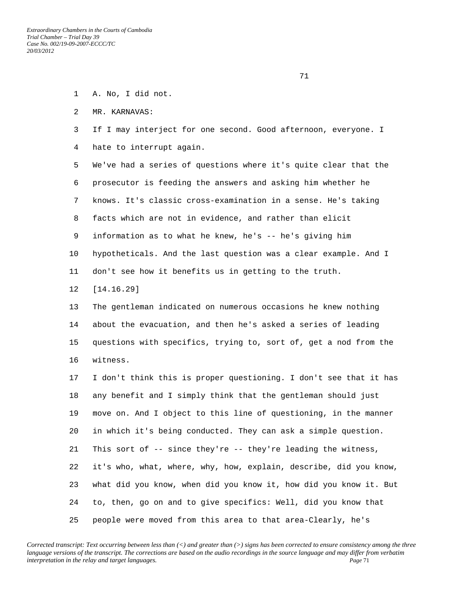- 1 A. No, I did not.
- 2 MR. KARNAVAS:
- 3 If I may interject for one second. Good afternoon, everyone. I
- 4 hate to interrupt again.

 5 We've had a series of questions where it's quite clear that the 6 prosecutor is feeding the answers and asking him whether he 7 knows. It's classic cross-examination in a sense. He's taking 8 facts which are not in evidence, and rather than elicit 9 information as to what he knew, he's -- he's giving him 10 hypotheticals. And the last question was a clear example. And I 11 don't see how it benefits us in getting to the truth.

12 [14.16.29]

 13 The gentleman indicated on numerous occasions he knew nothing 14 about the evacuation, and then he's asked a series of leading 15 questions with specifics, trying to, sort of, get a nod from the 16 witness.

 17 I don't think this is proper questioning. I don't see that it has 18 any benefit and I simply think that the gentleman should just 19 move on. And I object to this line of questioning, in the manner 20 in which it's being conducted. They can ask a simple question. 21 This sort of -- since they're -- they're leading the witness, 22 it's who, what, where, why, how, explain, describe, did you know, 23 what did you know, when did you know it, how did you know it. But 24 to, then, go on and to give specifics: Well, did you know that 25 people were moved from this area to that area-Clearly, he's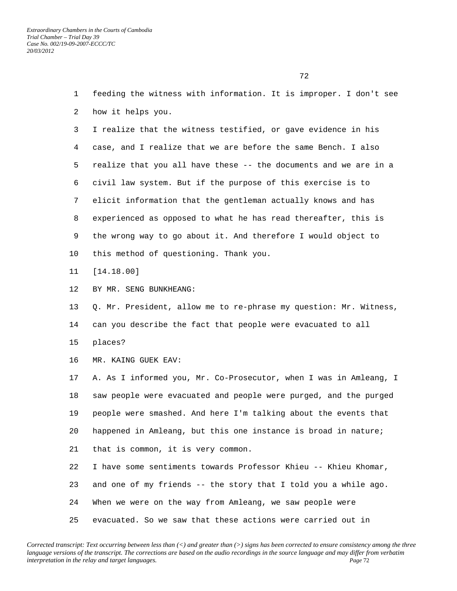<u>72</u> and 2012 and 2012 and 2012 and 2012 and 2012 and 2012 and 2012 and 2012 and 2012 and 2012 and 2012 and 2012 and 2012 and 2012 and 2012 and 2012 and 2012 and 2012 and 2012 and 2012 and 2012 and 2012 and 2012 and 2012

 1 feeding the witness with information. It is improper. I don't see 2 how it helps you. 3 I realize that the witness testified, or gave evidence in his 4 case, and I realize that we are before the same Bench. I also 5 realize that you all have these -- the documents and we are in a 6 civil law system. But if the purpose of this exercise is to 7 elicit information that the gentleman actually knows and has 8 experienced as opposed to what he has read thereafter, this is 9 the wrong way to go about it. And therefore I would object to 10 this method of questioning. Thank you. 11 [14.18.00] 12 BY MR. SENG BUNKHEANG: 13 Q. Mr. President, allow me to re-phrase my question: Mr. Witness, 14 can you describe the fact that people were evacuated to all 15 places? 16 MR. KAING GUEK EAV: 17 A. As I informed you, Mr. Co-Prosecutor, when I was in Amleang, I 18 saw people were evacuated and people were purged, and the purged 19 people were smashed. And here I'm talking about the events that 20 happened in Amleang, but this one instance is broad in nature; 21 that is common, it is very common. 22 I have some sentiments towards Professor Khieu -- Khieu Khomar, 23 and one of my friends -- the story that I told you a while ago. 24 When we were on the way from Amleang, we saw people were 25 evacuated. So we saw that these actions were carried out in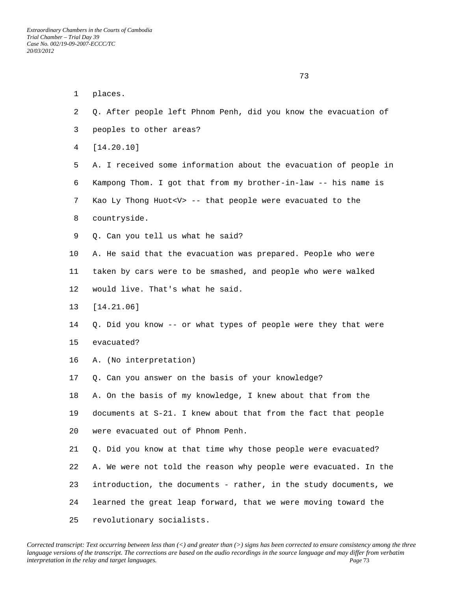1 places. 2 Q. After people left Phnom Penh, did you know the evacuation of 3 peoples to other areas? 4 [14.20.10] 5 A. I received some information about the evacuation of people in 6 Kampong Thom. I got that from my brother-in-law -- his name is 7 Kao Ly Thong Huot<V> -- that people were evacuated to the 8 countryside. 9 Q. Can you tell us what he said? 10 A. He said that the evacuation was prepared. People who were 11 taken by cars were to be smashed, and people who were walked 12 would live. That's what he said. 13 [14.21.06] 14 Q. Did you know -- or what types of people were they that were 15 evacuated? 16 A. (No interpretation) 17 Q. Can you answer on the basis of your knowledge? 18 A. On the basis of my knowledge, I knew about that from the 19 documents at S-21. I knew about that from the fact that people 20 were evacuated out of Phnom Penh. 21 Q. Did you know at that time why those people were evacuated? 22 A. We were not told the reason why people were evacuated. In the 23 introduction, the documents - rather, in the study documents, we 24 learned the great leap forward, that we were moving toward the 25 revolutionary socialists.

73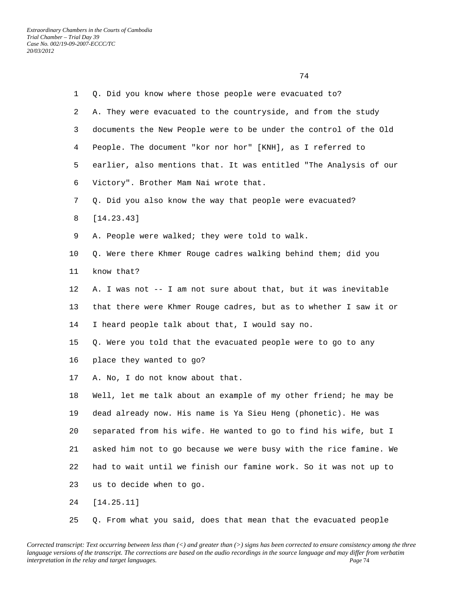| $\mathbf{1}$ | Q. Did you know where those people were evacuated to?             |
|--------------|-------------------------------------------------------------------|
| 2            | A. They were evacuated to the countryside, and from the study     |
| 3            | documents the New People were to be under the control of the Old  |
| 4            | People. The document "kor nor hor" [KNH], as I referred to        |
| 5            | earlier, also mentions that. It was entitled "The Analysis of our |
| 6            | Victory". Brother Mam Nai wrote that.                             |
| 7            | Q. Did you also know the way that people were evacuated?          |
| 8            | [14.23.43]                                                        |
| 9            | A. People were walked; they were told to walk.                    |
| 10           | Q. Were there Khmer Rouge cadres walking behind them; did you     |
| 11           | know that?                                                        |
| 12           | A. I was not -- I am not sure about that, but it was inevitable   |
| 13           | that there were Khmer Rouge cadres, but as to whether I saw it or |
| 14           | I heard people talk about that, I would say no.                   |
| 15           | Q. Were you told that the evacuated people were to go to any      |
| 16           | place they wanted to go?                                          |
| 17           | A. No, I do not know about that.                                  |
| 18           | Well, let me talk about an example of my other friend; he may be  |
| 19           | dead already now. His name is Ya Sieu Heng (phonetic). He was     |
| 20           | separated from his wife. He wanted to go to find his wife, but I  |
| 21           | asked him not to go because we were busy with the rice famine. We |
| 22           | had to wait until we finish our famine work. So it was not up to  |
| 23           | us to decide when to go.                                          |
| 24           | [14.25.11]                                                        |

25 Q. From what you said, does that mean that the evacuated people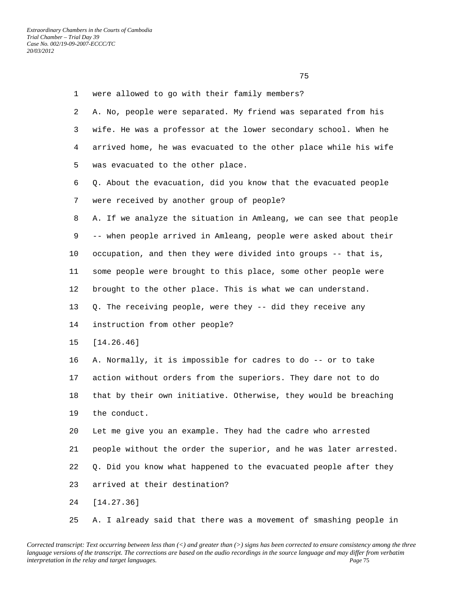| $\mathbf{1}$   | were allowed to go with their family members?                     |
|----------------|-------------------------------------------------------------------|
| $\overline{a}$ | A. No, people were separated. My friend was separated from his    |
| 3              | wife. He was a professor at the lower secondary school. When he   |
| 4              | arrived home, he was evacuated to the other place while his wife  |
| 5              | was evacuated to the other place.                                 |
| 6              | Q. About the evacuation, did you know that the evacuated people   |
| 7              | were received by another group of people?                         |
| 8              | A. If we analyze the situation in Amleang, we can see that people |
| 9              | -- when people arrived in Amleang, people were asked about their  |
| 10             | occupation, and then they were divided into groups -- that is,    |
| 11             | some people were brought to this place, some other people were    |
| 12             | brought to the other place. This is what we can understand.       |
| 13             | Q. The receiving people, were they -- did they receive any        |
| 14             | instruction from other people?                                    |
| 15             | [14.26.46]                                                        |
| 16             | A. Normally, it is impossible for cadres to do -- or to take      |
| 17             | action without orders from the superiors. They dare not to do     |
| 18             | that by their own initiative. Otherwise, they would be breaching  |
| 19             | the conduct.                                                      |
| 20             | Let me give you an example. They had the cadre who arrested       |
| 21             | people without the order the superior, and he was later arrested. |
| 22             | Q. Did you know what happened to the evacuated people after they  |
| 23             | arrived at their destination?                                     |
| 24             | [14.27.36]                                                        |
|                |                                                                   |

*Corrected transcript: Text occurring between less than (<) and greater than (>) signs has been corrected to ensure consistency among the three language versions of the transcript. The corrections are based on the audio recordings in the source language and may differ from verbatim interpretation in the relay and target languages. Page* 75

25 A. I already said that there was a movement of smashing people in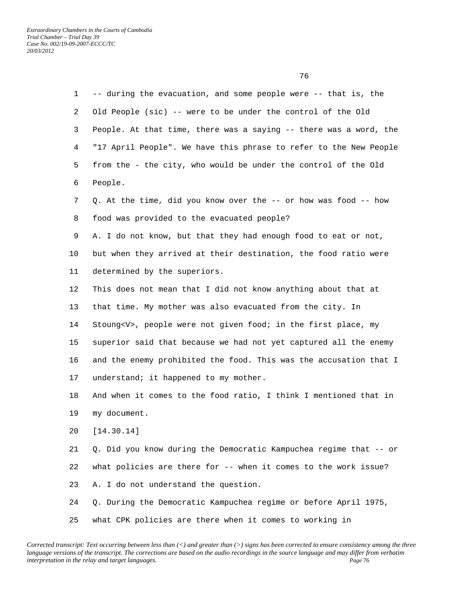| $\mathbf{1}$ | -- during the evacuation, and some people were -- that is, the     |
|--------------|--------------------------------------------------------------------|
| 2            | Old People (sic) -- were to be under the control of the Old        |
| 3            | People. At that time, there was a saying -- there was a word, the  |
| 4            | "17 April People". We have this phrase to refer to the New People  |
| 5            | from the - the city, who would be under the control of the Old     |
| 6            | People.                                                            |
| 7            | Q. At the time, did you know over the -- or how was food -- how    |
| 8            | food was provided to the evacuated people?                         |
| 9            | A. I do not know, but that they had enough food to eat or not,     |
| 10           | but when they arrived at their destination, the food ratio were    |
| 11           | determined by the superiors.                                       |
| 12           | This does not mean that I did not know anything about that at      |
| 13           | that time. My mother was also evacuated from the city. In          |
| 14           | Stoung <v>, people were not given food; in the first place, my</v> |
| 15           | superior said that because we had not yet captured all the enemy   |
| 16           | and the enemy prohibited the food. This was the accusation that I  |
| 17           | understand; it happened to my mother.                              |
| 18           | And when it comes to the food ratio, I think I mentioned that in   |
| 19           | my document.                                                       |
| 20           | [14.30.14]                                                         |
| 21           | Q. Did you know during the Democratic Kampuchea regime that -- or  |
| 22           | what policies are there for -- when it comes to the work issue?    |
| 23           | A. I do not understand the question.                               |
| 24           | Q. During the Democratic Kampuchea regime or before April 1975,    |
| 25           | what CPK policies are there when it comes to working in            |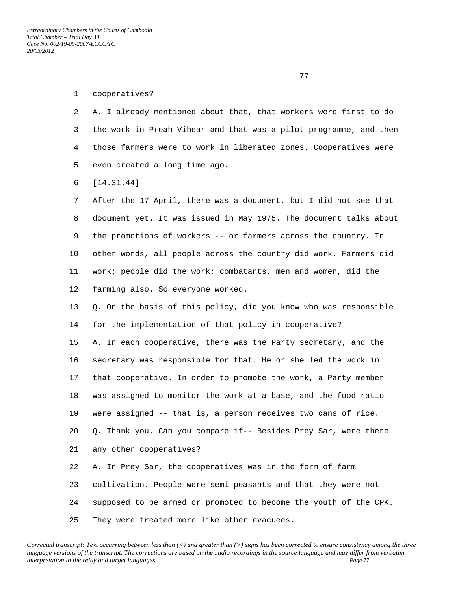## 1 cooperatives?

 2 A. I already mentioned about that, that workers were first to do 3 the work in Preah Vihear and that was a pilot programme, and then 4 those farmers were to work in liberated zones. Cooperatives were 5 even created a long time ago.

6 [14.31.44]

 7 After the 17 April, there was a document, but I did not see that 8 document yet. It was issued in May 1975. The document talks about 9 the promotions of workers -- or farmers across the country. In 10 other words, all people across the country did work. Farmers did 11 work; people did the work; combatants, men and women, did the 12 farming also. So everyone worked.

 13 Q. On the basis of this policy, did you know who was responsible 14 for the implementation of that policy in cooperative?

 15 A. In each cooperative, there was the Party secretary, and the 16 secretary was responsible for that. He or she led the work in 17 that cooperative. In order to promote the work, a Party member 18 was assigned to monitor the work at a base, and the food ratio 19 were assigned -- that is, a person receives two cans of rice. 20 Q. Thank you. Can you compare if-- Besides Prey Sar, were there 21 any other cooperatives? 22 A. In Prey Sar, the cooperatives was in the form of farm 23 cultivation. People were semi-peasants and that they were not 24 supposed to be armed or promoted to become the youth of the CPK.

25 They were treated more like other evacuees.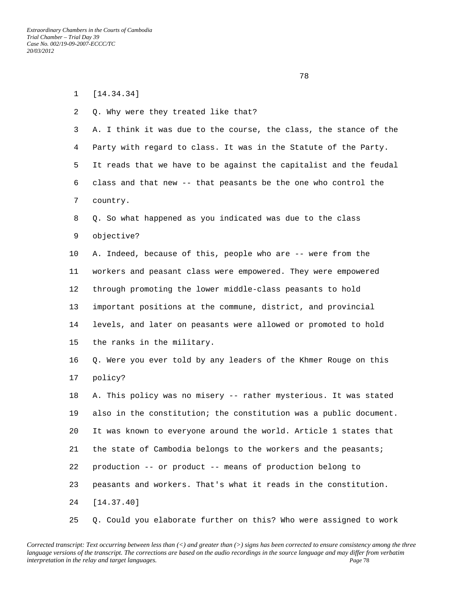<u>28 and 28 and 28 and 28 and 28 and 28 and 28 and 28 and 28 and 28 and 28 and 28 and 28 and 28 and 28 and 28 and 28 and 28 and 28 and 28 and 28 and 28 and 28 and 28 and 28 and 28 and 28 and 28 and 28 and 28 and 28 and 28 a</u>

| $\mathbf{1}$ | [14.34.34]                                                        |
|--------------|-------------------------------------------------------------------|
| 2            | Q. Why were they treated like that?                               |
| 3            | A. I think it was due to the course, the class, the stance of the |
| 4            | Party with regard to class. It was in the Statute of the Party.   |
| 5            | It reads that we have to be against the capitalist and the feudal |
| 6            | class and that new -- that peasants be the one who control the    |
| 7            | country.                                                          |
| 8            | Q. So what happened as you indicated was due to the class         |
| 9            | objective?                                                        |
| 10           | A. Indeed, because of this, people who are -- were from the       |
| 11           | workers and peasant class were empowered. They were empowered     |
| 12           | through promoting the lower middle-class peasants to hold         |
| 13           | important positions at the commune, district, and provincial      |
| 14           | levels, and later on peasants were allowed or promoted to hold    |
| 15           | the ranks in the military.                                        |
| 16           | Q. Were you ever told by any leaders of the Khmer Rouge on this   |
| $17 \,$      | policy?                                                           |
| 18           | A. This policy was no misery -- rather mysterious. It was stated  |
| 19           | also in the constitution; the constitution was a public document. |
| 20           | It was known to everyone around the world. Article 1 states that  |
| 21           | the state of Cambodia belongs to the workers and the peasants;    |
| 22           | production -- or product -- means of production belong to         |
| 23           | peasants and workers. That's what it reads in the constitution.   |
| 24           | [14.37.40]                                                        |
| 25           | Q. Could you elaborate further on this? Who were assigned to work |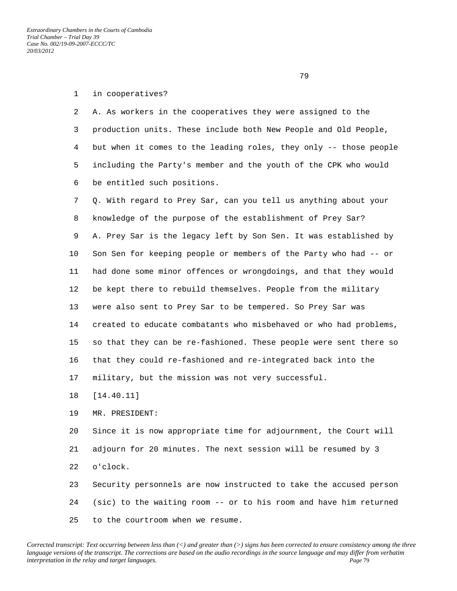*Extraordinary Chambers in the Courts of Cambodia Trial Chamber – Trial Day 39 Case No. 002/19-09-2007-ECCC/TC 20/03/2012* 

79

## 1 in cooperatives?

 2 A. As workers in the cooperatives they were assigned to the 3 production units. These include both New People and Old People, 4 but when it comes to the leading roles, they only -- those people 5 including the Party's member and the youth of the CPK who would 6 be entitled such positions.

 7 Q. With regard to Prey Sar, can you tell us anything about your 8 knowledge of the purpose of the establishment of Prey Sar? 9 A. Prey Sar is the legacy left by Son Sen. It was established by 10 Son Sen for keeping people or members of the Party who had -- or 11 had done some minor offences or wrongdoings, and that they would 12 be kept there to rebuild themselves. People from the military 13 were also sent to Prey Sar to be tempered. So Prey Sar was 14 created to educate combatants who misbehaved or who had problems, 15 so that they can be re-fashioned. These people were sent there so 16 that they could re-fashioned and re-integrated back into the 17 military, but the mission was not very successful.

18 [14.40.11]

19 MR. PRESIDENT:

 20 Since it is now appropriate time for adjournment, the Court will 21 adjourn for 20 minutes. The next session will be resumed by 3 22 o'clock. 23 Security personnels are now instructed to take the accused person

 24 (sic) to the waiting room -- or to his room and have him returned 25 to the courtroom when we resume.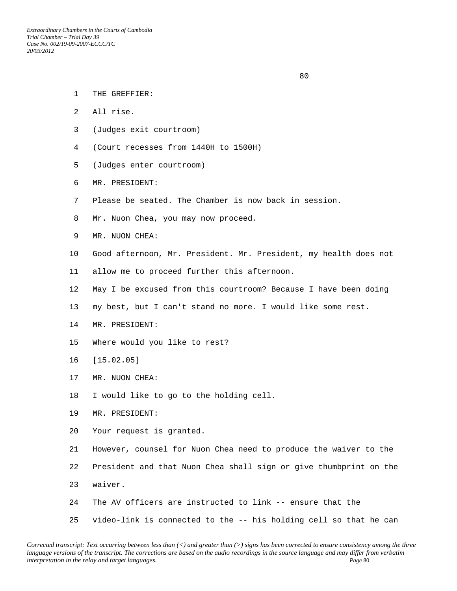- 1 THE GREFFIER:
- 2 All rise.
- 3 (Judges exit courtroom)
- 4 (Court recesses from 1440H to 1500H)
- 5 (Judges enter courtroom)
- 6 MR. PRESIDENT:
- 7 Please be seated. The Chamber is now back in session.
- 8 Mr. Nuon Chea, you may now proceed.
- 9 MR. NUON CHEA:
- 10 Good afternoon, Mr. President. Mr. President, my health does not
- 11 allow me to proceed further this afternoon.
- 12 May I be excused from this courtroom? Because I have been doing
- 13 my best, but I can't stand no more. I would like some rest.
- 14 MR. PRESIDENT:
- 15 Where would you like to rest?
- 16 [15.02.05]
- 17 MR. NUON CHEA:
- 18 I would like to go to the holding cell.
- 19 MR. PRESIDENT:
- 20 Your request is granted.
- 21 However, counsel for Nuon Chea need to produce the waiver to the
- 22 President and that Nuon Chea shall sign or give thumbprint on the
- 23 waiver.
- 24 The AV officers are instructed to link -- ensure that the
- 25 video-link is connected to the -- his holding cell so that he can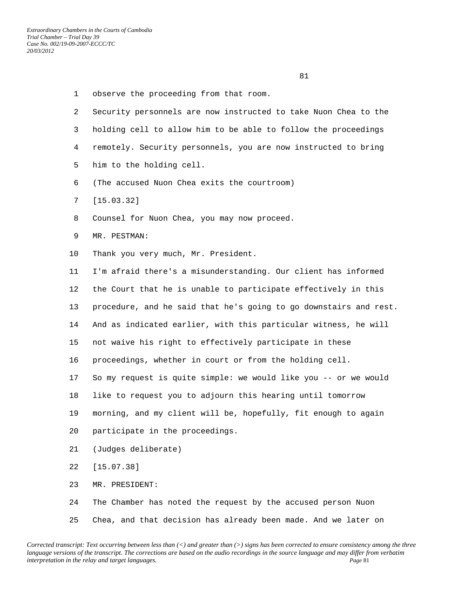- 1 observe the proceeding from that room.
- 2 Security personnels are now instructed to take Nuon Chea to the 3 holding cell to allow him to be able to follow the proceedings 4 remotely. Security personnels, you are now instructed to bring 5 him to the holding cell.
- 6 (The accused Nuon Chea exits the courtroom)
- 7 [15.03.32]
- 8 Counsel for Nuon Chea, you may now proceed.
- 9 MR. PESTMAN:
- 10 Thank you very much, Mr. President.

 11 I'm afraid there's a misunderstanding. Our client has informed 12 the Court that he is unable to participate effectively in this 13 procedure, and he said that he's going to go downstairs and rest. 14 And as indicated earlier, with this particular witness, he will 15 not waive his right to effectively participate in these 16 proceedings, whether in court or from the holding cell. 17 So my request is quite simple: we would like you -- or we would 18 like to request you to adjourn this hearing until tomorrow 19 morning, and my client will be, hopefully, fit enough to again 20 participate in the proceedings. 21 (Judges deliberate) 22 [15.07.38] 23 MR. PRESIDENT: 24 The Chamber has noted the request by the accused person Nuon

25 Chea, and that decision has already been made. And we later on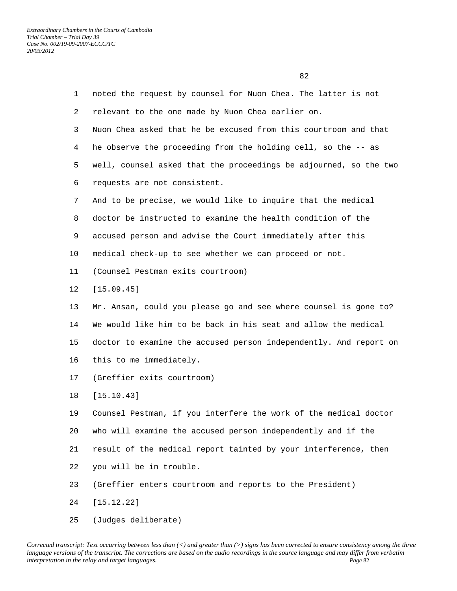| $\mathbf{1}$ | noted the request by counsel for Nuon Chea. The latter is not     |
|--------------|-------------------------------------------------------------------|
| 2            | relevant to the one made by Nuon Chea earlier on.                 |
| 3            | Nuon Chea asked that he be excused from this courtroom and that   |
| 4            | he observe the proceeding from the holding cell, so the -- as     |
| 5            | well, counsel asked that the proceedings be adjourned, so the two |
| 6            | requests are not consistent.                                      |
| 7            | And to be precise, we would like to inquire that the medical      |
| 8            | doctor be instructed to examine the health condition of the       |
| 9            | accused person and advise the Court immediately after this        |
| 10           | medical check-up to see whether we can proceed or not.            |
| 11           | (Counsel Pestman exits courtroom)                                 |
| 12           | [15.09.45]                                                        |
| 13           | Mr. Ansan, could you please go and see where counsel is gone to?  |
| 14           | We would like him to be back in his seat and allow the medical    |
| 15           | doctor to examine the accused person independently. And report on |
| 16           | this to me immediately.                                           |
| 17           | (Greffier exits courtroom)                                        |
| 18           | [15.10.43]                                                        |
| 19           | Counsel Pestman, if you interfere the work of the medical doctor  |
| 20           | who will examine the accused person independently and if the      |
| 21           | result of the medical report tainted by your interference, then   |
| 22           | you will be in trouble.                                           |
| 23           | (Greffier enters courtroom and reports to the President)          |
| 24           | [15.12.22]                                                        |
|              |                                                                   |

25 (Judges deliberate)

<u>82</u>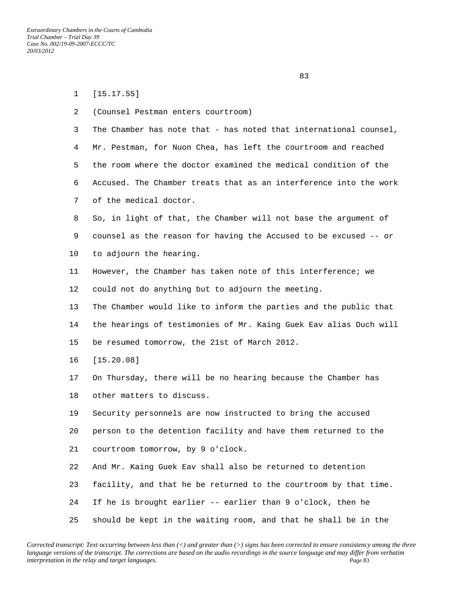1 [15.17.55]

experience of the state of the state of the state of the state of the state of the state of the state of the s

| 2  | (Counsel Pestman enters courtroom)                                |
|----|-------------------------------------------------------------------|
| 3  | The Chamber has note that - has noted that international counsel, |
| 4  | Mr. Pestman, for Nuon Chea, has left the courtroom and reached    |
| 5  | the room where the doctor examined the medical condition of the   |
| 6  | Accused. The Chamber treats that as an interference into the work |
| 7  | of the medical doctor.                                            |
| 8  | So, in light of that, the Chamber will not base the argument of   |
| 9  | counsel as the reason for having the Accused to be excused -- or  |
| 10 | to adjourn the hearing.                                           |
| 11 | However, the Chamber has taken note of this interference; we      |
| 12 | could not do anything but to adjourn the meeting.                 |
| 13 | The Chamber would like to inform the parties and the public that  |
| 14 | the hearings of testimonies of Mr. Kaing Guek Eav alias Duch will |
| 15 | be resumed tomorrow, the 21st of March 2012.                      |
| 16 | [15.20.08]                                                        |
| 17 | On Thursday, there will be no hearing because the Chamber has     |
| 18 | other matters to discuss.                                         |
| 19 | Security personnels are now instructed to bring the accused       |
| 20 | person to the detention facility and have them returned to the    |
| 21 | courtroom tomorrow, by 9 o'clock.                                 |
| 22 | And Mr. Kaing Guek Eav shall also be returned to detention        |
| 23 | facility, and that he be returned to the courtroom by that time.  |
| 24 | If he is brought earlier -- earlier than 9 o'clock, then he       |
| 25 | should be kept in the waiting room, and that he shall be in the   |